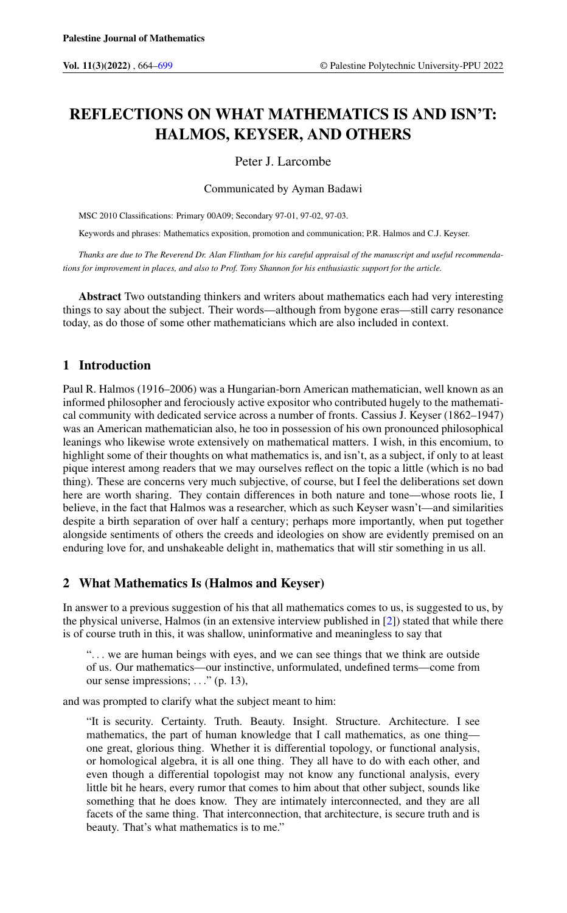# REFLECTIONS ON WHAT MATHEMATICS IS AND ISN'T: HALMOS, KEYSER, AND OTHERS

## Peter J. Larcombe

Communicated by Ayman Badawi

MSC 2010 Classifications: Primary 00A09; Secondary 97-01, 97-02, 97-03.

Keywords and phrases: Mathematics exposition, promotion and communication; P.R. Halmos and C.J. Keyser.

*Thanks are due to The Reverend Dr. Alan Flintham for his careful appraisal of the manuscript and useful recommendations for improvement in places, and also to Prof. Tony Shannon for his enthusiastic support for the article.*

Abstract Two outstanding thinkers and writers about mathematics each had very interesting things to say about the subject. Their words—although from bygone eras—still carry resonance today, as do those of some other mathematicians which are also included in context.

# 1 Introduction

Paul R. Halmos (1916–2006) was a Hungarian-born American mathematician, well known as an informed philosopher and ferociously active expositor who contributed hugely to the mathematical community with dedicated service across a number of fronts. Cassius J. Keyser (1862–1947) was an American mathematician also, he too in possession of his own pronounced philosophical leanings who likewise wrote extensively on mathematical matters. I wish, in this encomium, to highlight some of their thoughts on what mathematics is, and isn't, as a subject, if only to at least pique interest among readers that we may ourselves reflect on the topic a little (which is no bad thing). These are concerns very much subjective, of course, but I feel the deliberations set down here are worth sharing. They contain differences in both nature and tone—whose roots lie, I believe, in the fact that Halmos was a researcher, which as such Keyser wasn't—and similarities despite a birth separation of over half a century; perhaps more importantly, when put together alongside sentiments of others the creeds and ideologies on show are evidently premised on an enduring love for, and unshakeable delight in, mathematics that will stir something in us all.

## 2 What Mathematics Is (Halmos and Keyser)

In answer to a previous suggestion of his that all mathematics comes to us, is suggested to us, by the physical universe, Halmos (in an extensive interview published in [\[2\]](#page-34-1)) stated that while there is of course truth in this, it was shallow, uninformative and meaningless to say that

"... we are human beings with eyes, and we can see things that we think are outside of us. Our mathematics—our instinctive, unformulated, undefined terms—come from our sense impressions; . . ." (p. 13),

and was prompted to clarify what the subject meant to him:

"It is security. Certainty. Truth. Beauty. Insight. Structure. Architecture. I see mathematics, the part of human knowledge that I call mathematics, as one thing one great, glorious thing. Whether it is differential topology, or functional analysis, or homological algebra, it is all one thing. They all have to do with each other, and even though a differential topologist may not know any functional analysis, every little bit he hears, every rumor that comes to him about that other subject, sounds like something that he does know. They are intimately interconnected, and they are all facets of the same thing. That interconnection, that architecture, is secure truth and is beauty. That's what mathematics is to me."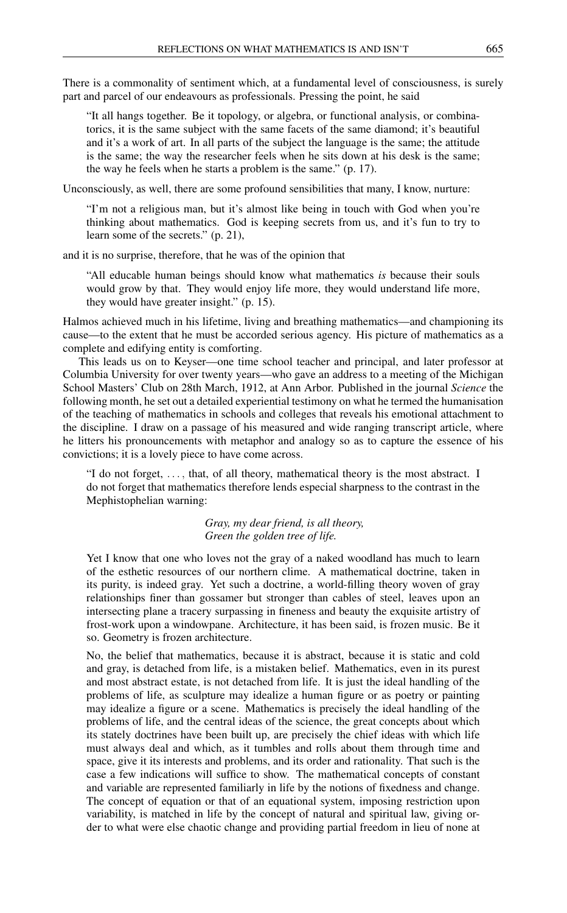There is a commonality of sentiment which, at a fundamental level of consciousness, is surely part and parcel of our endeavours as professionals. Pressing the point, he said

"It all hangs together. Be it topology, or algebra, or functional analysis, or combinatorics, it is the same subject with the same facets of the same diamond; it's beautiful and it's a work of art. In all parts of the subject the language is the same; the attitude is the same; the way the researcher feels when he sits down at his desk is the same; the way he feels when he starts a problem is the same." (p. 17).

Unconsciously, as well, there are some profound sensibilities that many, I know, nurture:

"I'm not a religious man, but it's almost like being in touch with God when you're thinking about mathematics. God is keeping secrets from us, and it's fun to try to learn some of the secrets." (p. 21),

and it is no surprise, therefore, that he was of the opinion that

"All educable human beings should know what mathematics *is* because their souls would grow by that. They would enjoy life more, they would understand life more, they would have greater insight." (p. 15).

Halmos achieved much in his lifetime, living and breathing mathematics—and championing its cause—to the extent that he must be accorded serious agency. His picture of mathematics as a complete and edifying entity is comforting.

This leads us on to Keyser—one time school teacher and principal, and later professor at Columbia University for over twenty years—who gave an address to a meeting of the Michigan School Masters' Club on 28th March, 1912, at Ann Arbor. Published in the journal *Science* the following month, he set out a detailed experiential testimony on what he termed the humanisation of the teaching of mathematics in schools and colleges that reveals his emotional attachment to the discipline. I draw on a passage of his measured and wide ranging transcript article, where he litters his pronouncements with metaphor and analogy so as to capture the essence of his convictions; it is a lovely piece to have come across.

"I do not forget, . . . , that, of all theory, mathematical theory is the most abstract. I do not forget that mathematics therefore lends especial sharpness to the contrast in the Mephistophelian warning:

> *Gray, my dear friend, is all theory, Green the golden tree of life.*

Yet I know that one who loves not the gray of a naked woodland has much to learn of the esthetic resources of our northern clime. A mathematical doctrine, taken in its purity, is indeed gray. Yet such a doctrine, a world-filling theory woven of gray relationships finer than gossamer but stronger than cables of steel, leaves upon an intersecting plane a tracery surpassing in fineness and beauty the exquisite artistry of frost-work upon a windowpane. Architecture, it has been said, is frozen music. Be it so. Geometry is frozen architecture.

No, the belief that mathematics, because it is abstract, because it is static and cold and gray, is detached from life, is a mistaken belief. Mathematics, even in its purest and most abstract estate, is not detached from life. It is just the ideal handling of the problems of life, as sculpture may idealize a human figure or as poetry or painting may idealize a figure or a scene. Mathematics is precisely the ideal handling of the problems of life, and the central ideas of the science, the great concepts about which its stately doctrines have been built up, are precisely the chief ideas with which life must always deal and which, as it tumbles and rolls about them through time and space, give it its interests and problems, and its order and rationality. That such is the case a few indications will suffice to show. The mathematical concepts of constant and variable are represented familiarly in life by the notions of fixedness and change. The concept of equation or that of an equational system, imposing restriction upon variability, is matched in life by the concept of natural and spiritual law, giving order to what were else chaotic change and providing partial freedom in lieu of none at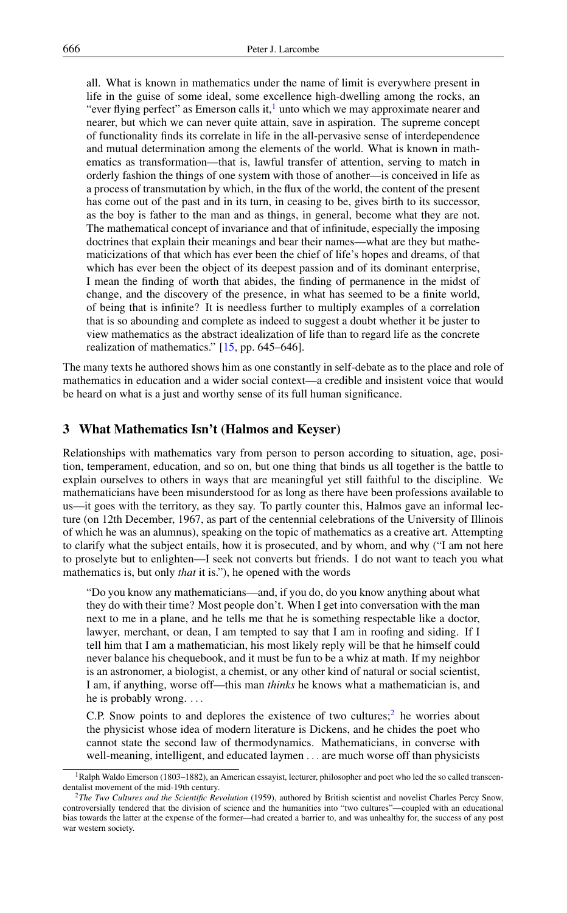all. What is known in mathematics under the name of limit is everywhere present in life in the guise of some ideal, some excellence high-dwelling among the rocks, an "ever flying perfect" as Emerson calls it, $<sup>1</sup>$  $<sup>1</sup>$  $<sup>1</sup>$  unto which we may approximate nearer and</sup> nearer, but which we can never quite attain, save in aspiration. The supreme concept of functionality finds its correlate in life in the all-pervasive sense of interdependence and mutual determination among the elements of the world. What is known in mathematics as transformation—that is, lawful transfer of attention, serving to match in orderly fashion the things of one system with those of another—is conceived in life as a process of transmutation by which, in the flux of the world, the content of the present has come out of the past and in its turn, in ceasing to be, gives birth to its successor, as the boy is father to the man and as things, in general, become what they are not. The mathematical concept of invariance and that of infinitude, especially the imposing doctrines that explain their meanings and bear their names—what are they but mathematicizations of that which has ever been the chief of life's hopes and dreams, of that which has ever been the object of its deepest passion and of its dominant enterprise, I mean the finding of worth that abides, the finding of permanence in the midst of change, and the discovery of the presence, in what has seemed to be a finite world, of being that is infinite? It is needless further to multiply examples of a correlation that is so abounding and complete as indeed to suggest a doubt whether it be juster to view mathematics as the abstract idealization of life than to regard life as the concrete realization of mathematics." [\[15,](#page-34-2) pp. 645–646].

The many texts he authored shows him as one constantly in self-debate as to the place and role of mathematics in education and a wider social context—a credible and insistent voice that would be heard on what is a just and worthy sense of its full human significance.

# 3 What Mathematics Isn't (Halmos and Keyser)

Relationships with mathematics vary from person to person according to situation, age, position, temperament, education, and so on, but one thing that binds us all together is the battle to explain ourselves to others in ways that are meaningful yet still faithful to the discipline. We mathematicians have been misunderstood for as long as there have been professions available to us—it goes with the territory, as they say. To partly counter this, Halmos gave an informal lecture (on 12th December, 1967, as part of the centennial celebrations of the University of Illinois of which he was an alumnus), speaking on the topic of mathematics as a creative art. Attempting to clarify what the subject entails, how it is prosecuted, and by whom, and why ("I am not here to proselyte but to enlighten—I seek not converts but friends. I do not want to teach you what mathematics is, but only *that* it is."), he opened with the words

"Do you know any mathematicians—and, if you do, do you know anything about what they do with their time? Most people don't. When I get into conversation with the man next to me in a plane, and he tells me that he is something respectable like a doctor, lawyer, merchant, or dean, I am tempted to say that I am in roofing and siding. If I tell him that I am a mathematician, his most likely reply will be that he himself could never balance his chequebook, and it must be fun to be a whiz at math. If my neighbor is an astronomer, a biologist, a chemist, or any other kind of natural or social scientist, I am, if anything, worse off—this man *thinks* he knows what a mathematician is, and he is probably wrong. . . .

C.P. Snow points to and deplores the existence of two cultures; $<sup>2</sup>$  $<sup>2</sup>$  $<sup>2</sup>$  he worries about</sup> the physicist whose idea of modern literature is Dickens, and he chides the poet who cannot state the second law of thermodynamics. Mathematicians, in converse with well-meaning, intelligent, and educated laymen . . . are much worse off than physicists

<span id="page-2-0"></span><sup>&</sup>lt;sup>1</sup>Ralph Waldo Emerson (1803–1882), an American essayist, lecturer, philosopher and poet who led the so called transcendentalist movement of the mid-19th century.

<span id="page-2-1"></span><sup>2</sup>*The Two Cultures and the Scientific Revolution* (1959), authored by British scientist and novelist Charles Percy Snow, controversially tendered that the division of science and the humanities into "two cultures"—coupled with an educational bias towards the latter at the expense of the former—had created a barrier to, and was unhealthy for, the success of any post war western society.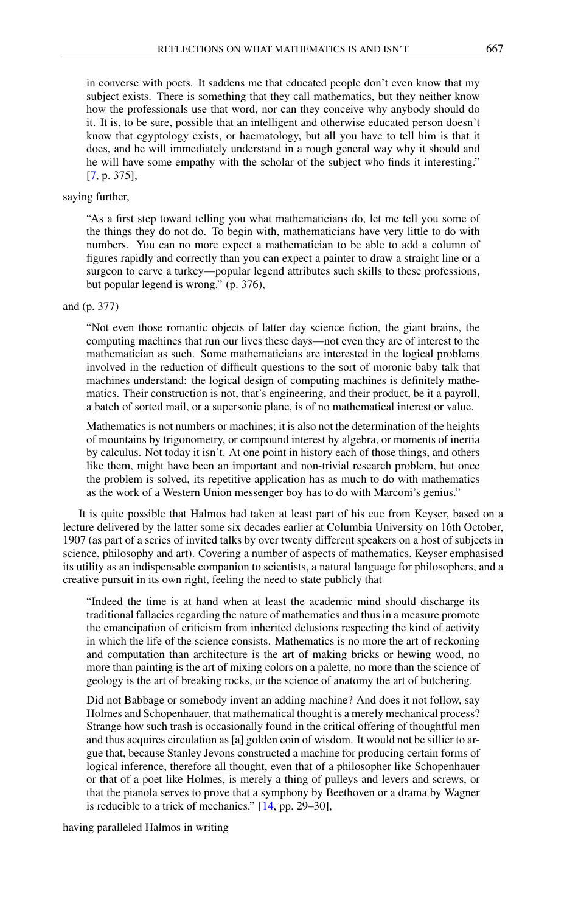in converse with poets. It saddens me that educated people don't even know that my subject exists. There is something that they call mathematics, but they neither know how the professionals use that word, nor can they conceive why anybody should do it. It is, to be sure, possible that an intelligent and otherwise educated person doesn't know that egyptology exists, or haematology, but all you have to tell him is that it does, and he will immediately understand in a rough general way why it should and he will have some empathy with the scholar of the subject who finds it interesting." [\[7,](#page-34-3) p. 375],

#### saying further,

"As a first step toward telling you what mathematicians do, let me tell you some of the things they do not do. To begin with, mathematicians have very little to do with numbers. You can no more expect a mathematician to be able to add a column of figures rapidly and correctly than you can expect a painter to draw a straight line or a surgeon to carve a turkey—popular legend attributes such skills to these professions, but popular legend is wrong." (p. 376),

#### and (p. 377)

"Not even those romantic objects of latter day science fiction, the giant brains, the computing machines that run our lives these days—not even they are of interest to the mathematician as such. Some mathematicians are interested in the logical problems involved in the reduction of difficult questions to the sort of moronic baby talk that machines understand: the logical design of computing machines is definitely mathematics. Their construction is not, that's engineering, and their product, be it a payroll, a batch of sorted mail, or a supersonic plane, is of no mathematical interest or value.

Mathematics is not numbers or machines; it is also not the determination of the heights of mountains by trigonometry, or compound interest by algebra, or moments of inertia by calculus. Not today it isn't. At one point in history each of those things, and others like them, might have been an important and non-trivial research problem, but once the problem is solved, its repetitive application has as much to do with mathematics as the work of a Western Union messenger boy has to do with Marconi's genius."

It is quite possible that Halmos had taken at least part of his cue from Keyser, based on a lecture delivered by the latter some six decades earlier at Columbia University on 16th October, 1907 (as part of a series of invited talks by over twenty different speakers on a host of subjects in science, philosophy and art). Covering a number of aspects of mathematics, Keyser emphasised its utility as an indispensable companion to scientists, a natural language for philosophers, and a creative pursuit in its own right, feeling the need to state publicly that

"Indeed the time is at hand when at least the academic mind should discharge its traditional fallacies regarding the nature of mathematics and thus in a measure promote the emancipation of criticism from inherited delusions respecting the kind of activity in which the life of the science consists. Mathematics is no more the art of reckoning and computation than architecture is the art of making bricks or hewing wood, no more than painting is the art of mixing colors on a palette, no more than the science of geology is the art of breaking rocks, or the science of anatomy the art of butchering.

Did not Babbage or somebody invent an adding machine? And does it not follow, say Holmes and Schopenhauer, that mathematical thought is a merely mechanical process? Strange how such trash is occasionally found in the critical offering of thoughtful men and thus acquires circulation as [a] golden coin of wisdom. It would not be sillier to argue that, because Stanley Jevons constructed a machine for producing certain forms of logical inference, therefore all thought, even that of a philosopher like Schopenhauer or that of a poet like Holmes, is merely a thing of pulleys and levers and screws, or that the pianola serves to prove that a symphony by Beethoven or a drama by Wagner is reducible to a trick of mechanics." [\[14,](#page-34-4) pp. 29–30],

having paralleled Halmos in writing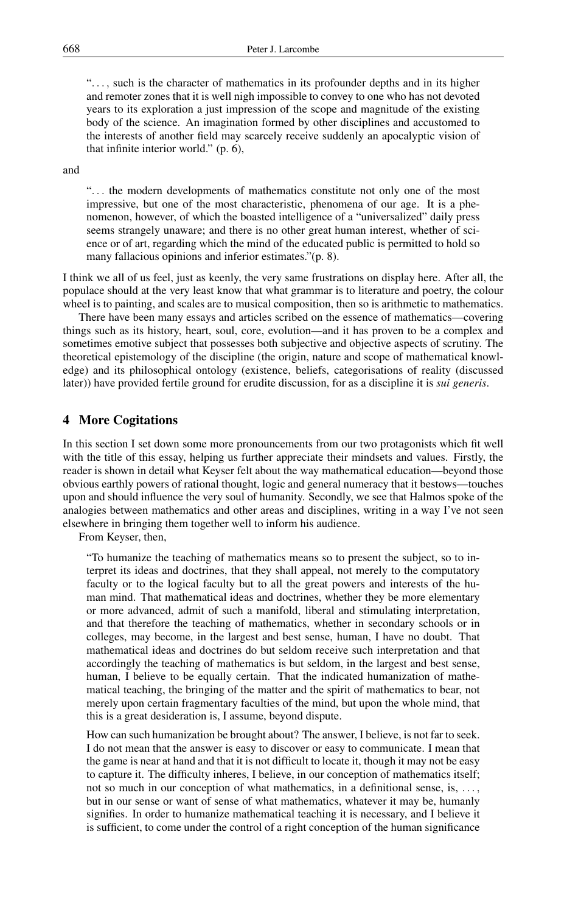". . . , such is the character of mathematics in its profounder depths and in its higher and remoter zones that it is well nigh impossible to convey to one who has not devoted years to its exploration a just impression of the scope and magnitude of the existing body of the science. An imagination formed by other disciplines and accustomed to the interests of another field may scarcely receive suddenly an apocalyptic vision of that infinite interior world." (p. 6),

and

"... the modern developments of mathematics constitute not only one of the most impressive, but one of the most characteristic, phenomena of our age. It is a phenomenon, however, of which the boasted intelligence of a "universalized" daily press seems strangely unaware; and there is no other great human interest, whether of science or of art, regarding which the mind of the educated public is permitted to hold so many fallacious opinions and inferior estimates."(p. 8).

I think we all of us feel, just as keenly, the very same frustrations on display here. After all, the populace should at the very least know that what grammar is to literature and poetry, the colour wheel is to painting, and scales are to musical composition, then so is arithmetic to mathematics.

There have been many essays and articles scribed on the essence of mathematics—covering things such as its history, heart, soul, core, evolution—and it has proven to be a complex and sometimes emotive subject that possesses both subjective and objective aspects of scrutiny. The theoretical epistemology of the discipline (the origin, nature and scope of mathematical knowledge) and its philosophical ontology (existence, beliefs, categorisations of reality (discussed later)) have provided fertile ground for erudite discussion, for as a discipline it is *sui generis*.

## 4 More Cogitations

In this section I set down some more pronouncements from our two protagonists which fit well with the title of this essay, helping us further appreciate their mindsets and values. Firstly, the reader is shown in detail what Keyser felt about the way mathematical education—beyond those obvious earthly powers of rational thought, logic and general numeracy that it bestows—touches upon and should influence the very soul of humanity. Secondly, we see that Halmos spoke of the analogies between mathematics and other areas and disciplines, writing in a way I've not seen elsewhere in bringing them together well to inform his audience.

From Keyser, then,

"To humanize the teaching of mathematics means so to present the subject, so to interpret its ideas and doctrines, that they shall appeal, not merely to the computatory faculty or to the logical faculty but to all the great powers and interests of the human mind. That mathematical ideas and doctrines, whether they be more elementary or more advanced, admit of such a manifold, liberal and stimulating interpretation, and that therefore the teaching of mathematics, whether in secondary schools or in colleges, may become, in the largest and best sense, human, I have no doubt. That mathematical ideas and doctrines do but seldom receive such interpretation and that accordingly the teaching of mathematics is but seldom, in the largest and best sense, human, I believe to be equally certain. That the indicated humanization of mathematical teaching, the bringing of the matter and the spirit of mathematics to bear, not merely upon certain fragmentary faculties of the mind, but upon the whole mind, that this is a great desideration is, I assume, beyond dispute.

How can such humanization be brought about? The answer, I believe, is not far to seek. I do not mean that the answer is easy to discover or easy to communicate. I mean that the game is near at hand and that it is not difficult to locate it, though it may not be easy to capture it. The difficulty inheres, I believe, in our conception of mathematics itself; not so much in our conception of what mathematics, in a definitional sense, is, ..., but in our sense or want of sense of what mathematics, whatever it may be, humanly signifies. In order to humanize mathematical teaching it is necessary, and I believe it is sufficient, to come under the control of a right conception of the human significance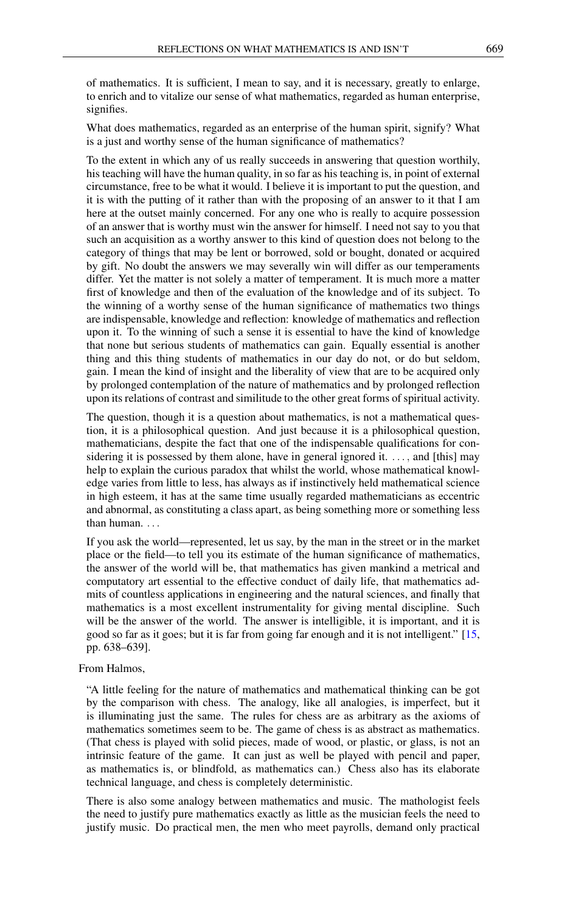of mathematics. It is sufficient, I mean to say, and it is necessary, greatly to enlarge, to enrich and to vitalize our sense of what mathematics, regarded as human enterprise, signifies.

What does mathematics, regarded as an enterprise of the human spirit, signify? What is a just and worthy sense of the human significance of mathematics?

To the extent in which any of us really succeeds in answering that question worthily, his teaching will have the human quality, in so far as his teaching is, in point of external circumstance, free to be what it would. I believe it is important to put the question, and it is with the putting of it rather than with the proposing of an answer to it that I am here at the outset mainly concerned. For any one who is really to acquire possession of an answer that is worthy must win the answer for himself. I need not say to you that such an acquisition as a worthy answer to this kind of question does not belong to the category of things that may be lent or borrowed, sold or bought, donated or acquired by gift. No doubt the answers we may severally win will differ as our temperaments differ. Yet the matter is not solely a matter of temperament. It is much more a matter first of knowledge and then of the evaluation of the knowledge and of its subject. To the winning of a worthy sense of the human significance of mathematics two things are indispensable, knowledge and reflection: knowledge of mathematics and reflection upon it. To the winning of such a sense it is essential to have the kind of knowledge that none but serious students of mathematics can gain. Equally essential is another thing and this thing students of mathematics in our day do not, or do but seldom, gain. I mean the kind of insight and the liberality of view that are to be acquired only by prolonged contemplation of the nature of mathematics and by prolonged reflection upon its relations of contrast and similitude to the other great forms of spiritual activity.

The question, though it is a question about mathematics, is not a mathematical question, it is a philosophical question. And just because it is a philosophical question, mathematicians, despite the fact that one of the indispensable qualifications for considering it is possessed by them alone, have in general ignored it.  $\dots$ , and [this] may help to explain the curious paradox that whilst the world, whose mathematical knowledge varies from little to less, has always as if instinctively held mathematical science in high esteem, it has at the same time usually regarded mathematicians as eccentric and abnormal, as constituting a class apart, as being something more or something less than human. . . .

If you ask the world—represented, let us say, by the man in the street or in the market place or the field—to tell you its estimate of the human significance of mathematics, the answer of the world will be, that mathematics has given mankind a metrical and computatory art essential to the effective conduct of daily life, that mathematics admits of countless applications in engineering and the natural sciences, and finally that mathematics is a most excellent instrumentality for giving mental discipline. Such will be the answer of the world. The answer is intelligible, it is important, and it is good so far as it goes; but it is far from going far enough and it is not intelligent." [\[15,](#page-34-2) pp. 638–639].

## From Halmos,

"A little feeling for the nature of mathematics and mathematical thinking can be got by the comparison with chess. The analogy, like all analogies, is imperfect, but it is illuminating just the same. The rules for chess are as arbitrary as the axioms of mathematics sometimes seem to be. The game of chess is as abstract as mathematics. (That chess is played with solid pieces, made of wood, or plastic, or glass, is not an intrinsic feature of the game. It can just as well be played with pencil and paper, as mathematics is, or blindfold, as mathematics can.) Chess also has its elaborate technical language, and chess is completely deterministic.

There is also some analogy between mathematics and music. The mathologist feels the need to justify pure mathematics exactly as little as the musician feels the need to justify music. Do practical men, the men who meet payrolls, demand only practical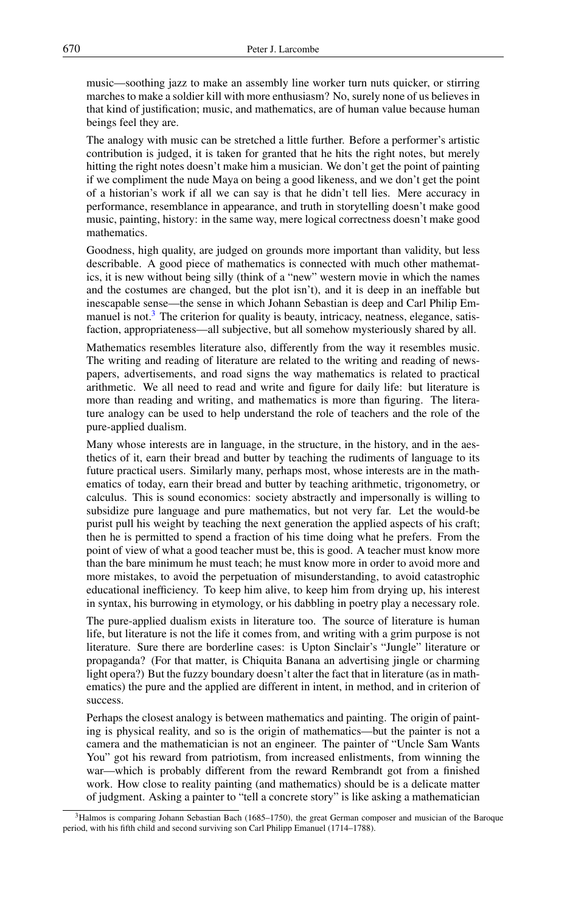music—soothing jazz to make an assembly line worker turn nuts quicker, or stirring marches to make a soldier kill with more enthusiasm? No, surely none of us believes in that kind of justification; music, and mathematics, are of human value because human beings feel they are.

The analogy with music can be stretched a little further. Before a performer's artistic contribution is judged, it is taken for granted that he hits the right notes, but merely hitting the right notes doesn't make him a musician. We don't get the point of painting if we compliment the nude Maya on being a good likeness, and we don't get the point of a historian's work if all we can say is that he didn't tell lies. Mere accuracy in performance, resemblance in appearance, and truth in storytelling doesn't make good music, painting, history: in the same way, mere logical correctness doesn't make good mathematics.

Goodness, high quality, are judged on grounds more important than validity, but less describable. A good piece of mathematics is connected with much other mathematics, it is new without being silly (think of a "new" western movie in which the names and the costumes are changed, but the plot isn't), and it is deep in an ineffable but inescapable sense—the sense in which Johann Sebastian is deep and Carl Philip Em-manuel is not.<sup>[3](#page-6-0)</sup> The criterion for quality is beauty, intricacy, neatness, elegance, satisfaction, appropriateness—all subjective, but all somehow mysteriously shared by all.

Mathematics resembles literature also, differently from the way it resembles music. The writing and reading of literature are related to the writing and reading of newspapers, advertisements, and road signs the way mathematics is related to practical arithmetic. We all need to read and write and figure for daily life: but literature is more than reading and writing, and mathematics is more than figuring. The literature analogy can be used to help understand the role of teachers and the role of the pure-applied dualism.

Many whose interests are in language, in the structure, in the history, and in the aesthetics of it, earn their bread and butter by teaching the rudiments of language to its future practical users. Similarly many, perhaps most, whose interests are in the mathematics of today, earn their bread and butter by teaching arithmetic, trigonometry, or calculus. This is sound economics: society abstractly and impersonally is willing to subsidize pure language and pure mathematics, but not very far. Let the would-be purist pull his weight by teaching the next generation the applied aspects of his craft; then he is permitted to spend a fraction of his time doing what he prefers. From the point of view of what a good teacher must be, this is good. A teacher must know more than the bare minimum he must teach; he must know more in order to avoid more and more mistakes, to avoid the perpetuation of misunderstanding, to avoid catastrophic educational inefficiency. To keep him alive, to keep him from drying up, his interest in syntax, his burrowing in etymology, or his dabbling in poetry play a necessary role.

The pure-applied dualism exists in literature too. The source of literature is human life, but literature is not the life it comes from, and writing with a grim purpose is not literature. Sure there are borderline cases: is Upton Sinclair's "Jungle" literature or propaganda? (For that matter, is Chiquita Banana an advertising jingle or charming light opera?) But the fuzzy boundary doesn't alter the fact that in literature (as in mathematics) the pure and the applied are different in intent, in method, and in criterion of success.

Perhaps the closest analogy is between mathematics and painting. The origin of painting is physical reality, and so is the origin of mathematics—but the painter is not a camera and the mathematician is not an engineer. The painter of "Uncle Sam Wants You" got his reward from patriotism, from increased enlistments, from winning the war—which is probably different from the reward Rembrandt got from a finished work. How close to reality painting (and mathematics) should be is a delicate matter of judgment. Asking a painter to "tell a concrete story" is like asking a mathematician

<span id="page-6-0"></span><sup>3</sup>Halmos is comparing Johann Sebastian Bach (1685–1750), the great German composer and musician of the Baroque period, with his fifth child and second surviving son Carl Philipp Emanuel (1714–1788).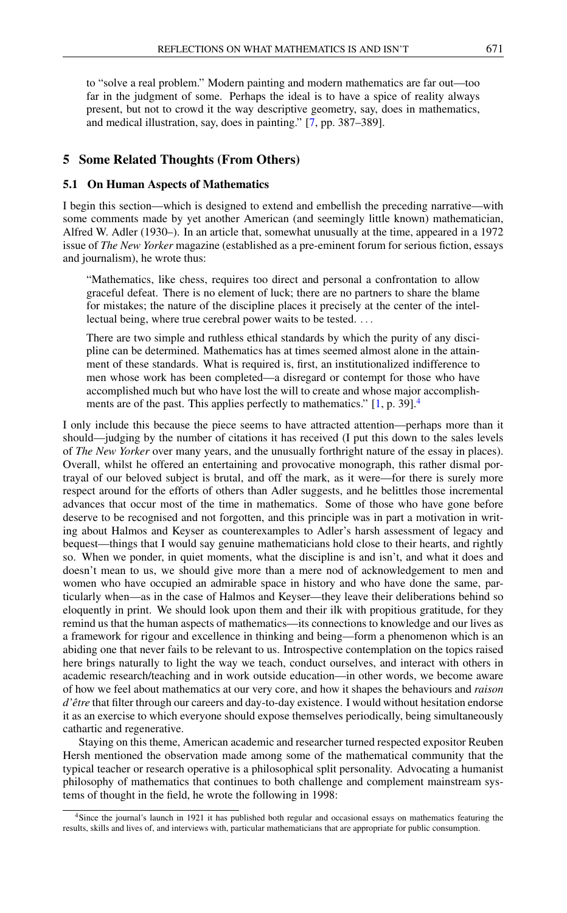to "solve a real problem." Modern painting and modern mathematics are far out—too far in the judgment of some. Perhaps the ideal is to have a spice of reality always present, but not to crowd it the way descriptive geometry, say, does in mathematics, and medical illustration, say, does in painting." [\[7,](#page-34-3) pp. 387–389].

# 5 Some Related Thoughts (From Others)

#### 5.1 On Human Aspects of Mathematics

I begin this section—which is designed to extend and embellish the preceding narrative—with some comments made by yet another American (and seemingly little known) mathematician, Alfred W. Adler (1930–). In an article that, somewhat unusually at the time, appeared in a 1972 issue of *The New Yorker* magazine (established as a pre-eminent forum for serious fiction, essays and journalism), he wrote thus:

"Mathematics, like chess, requires too direct and personal a confrontation to allow graceful defeat. There is no element of luck; there are no partners to share the blame for mistakes; the nature of the discipline places it precisely at the center of the intellectual being, where true cerebral power waits to be tested. . . .

There are two simple and ruthless ethical standards by which the purity of any discipline can be determined. Mathematics has at times seemed almost alone in the attainment of these standards. What is required is, first, an institutionalized indifference to men whose work has been completed—a disregard or contempt for those who have accomplished much but who have lost the will to create and whose major accomplish-ments are of the past. This applies perfectly to mathematics." [\[1,](#page-34-5) p. 39].<sup>[4](#page-7-0)</sup>

I only include this because the piece seems to have attracted attention—perhaps more than it should—judging by the number of citations it has received (I put this down to the sales levels of *The New Yorker* over many years, and the unusually forthright nature of the essay in places). Overall, whilst he offered an entertaining and provocative monograph, this rather dismal portrayal of our beloved subject is brutal, and off the mark, as it were—for there is surely more respect around for the efforts of others than Adler suggests, and he belittles those incremental advances that occur most of the time in mathematics. Some of those who have gone before deserve to be recognised and not forgotten, and this principle was in part a motivation in writing about Halmos and Keyser as counterexamples to Adler's harsh assessment of legacy and bequest—things that I would say genuine mathematicians hold close to their hearts, and rightly so. When we ponder, in quiet moments, what the discipline is and isn't, and what it does and doesn't mean to us, we should give more than a mere nod of acknowledgement to men and women who have occupied an admirable space in history and who have done the same, particularly when—as in the case of Halmos and Keyser—they leave their deliberations behind so eloquently in print. We should look upon them and their ilk with propitious gratitude, for they remind us that the human aspects of mathematics—its connections to knowledge and our lives as a framework for rigour and excellence in thinking and being—form a phenomenon which is an abiding one that never fails to be relevant to us. Introspective contemplation on the topics raised here brings naturally to light the way we teach, conduct ourselves, and interact with others in academic research/teaching and in work outside education—in other words, we become aware of how we feel about mathematics at our very core, and how it shapes the behaviours and *raison d'être* that filter through our careers and day-to-day existence. I would without hesitation endorse it as an exercise to which everyone should expose themselves periodically, being simultaneously cathartic and regenerative.

Staying on this theme, American academic and researcher turned respected expositor Reuben Hersh mentioned the observation made among some of the mathematical community that the typical teacher or research operative is a philosophical split personality. Advocating a humanist philosophy of mathematics that continues to both challenge and complement mainstream systems of thought in the field, he wrote the following in 1998:

<span id="page-7-0"></span><sup>4</sup>Since the journal's launch in 1921 it has published both regular and occasional essays on mathematics featuring the results, skills and lives of, and interviews with, particular mathematicians that are appropriate for public consumption.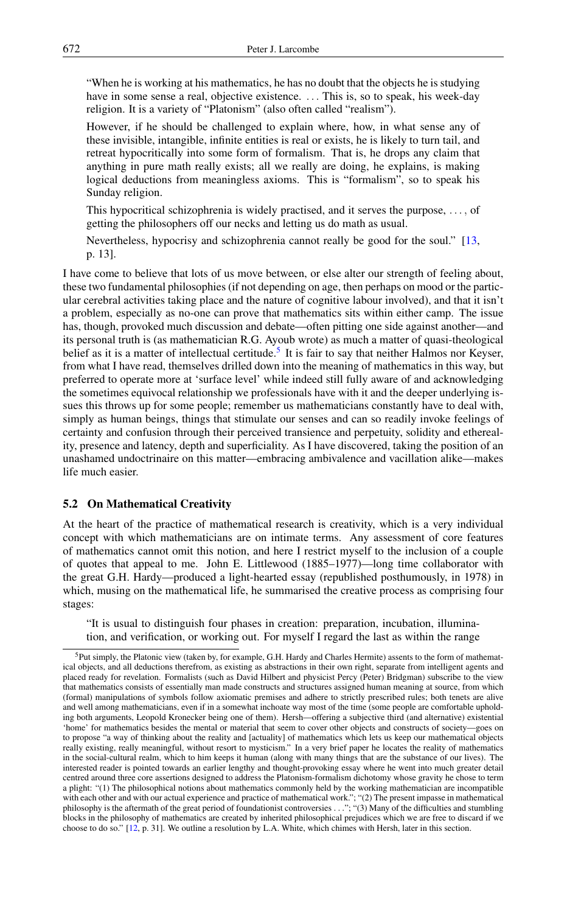"When he is working at his mathematics, he has no doubt that the objects he is studying have in some sense a real, objective existence. . . . This is, so to speak, his week-day religion. It is a variety of "Platonism" (also often called "realism").

However, if he should be challenged to explain where, how, in what sense any of these invisible, intangible, infinite entities is real or exists, he is likely to turn tail, and retreat hypocritically into some form of formalism. That is, he drops any claim that anything in pure math really exists; all we really are doing, he explains, is making logical deductions from meaningless axioms. This is "formalism", so to speak his Sunday religion.

This hypocritical schizophrenia is widely practised, and it serves the purpose, . . . , of getting the philosophers off our necks and letting us do math as usual.

Nevertheless, hypocrisy and schizophrenia cannot really be good for the soul." [\[13,](#page-34-6) p. 13].

I have come to believe that lots of us move between, or else alter our strength of feeling about, these two fundamental philosophies (if not depending on age, then perhaps on mood or the particular cerebral activities taking place and the nature of cognitive labour involved), and that it isn't a problem, especially as no-one can prove that mathematics sits within either camp. The issue has, though, provoked much discussion and debate—often pitting one side against another—and its personal truth is (as mathematician R.G. Ayoub wrote) as much a matter of quasi-theological belief as it is a matter of intellectual certitude.<sup>[5](#page-8-0)</sup> It is fair to say that neither Halmos nor Keyser, from what I have read, themselves drilled down into the meaning of mathematics in this way, but preferred to operate more at 'surface level' while indeed still fully aware of and acknowledging the sometimes equivocal relationship we professionals have with it and the deeper underlying issues this throws up for some people; remember us mathematicians constantly have to deal with, simply as human beings, things that stimulate our senses and can so readily invoke feelings of certainty and confusion through their perceived transience and perpetuity, solidity and ethereality, presence and latency, depth and superficiality. As I have discovered, taking the position of an unashamed undoctrinaire on this matter—embracing ambivalence and vacillation alike—makes life much easier.

## 5.2 On Mathematical Creativity

At the heart of the practice of mathematical research is creativity, which is a very individual concept with which mathematicians are on intimate terms. Any assessment of core features of mathematics cannot omit this notion, and here I restrict myself to the inclusion of a couple of quotes that appeal to me. John E. Littlewood (1885–1977)—long time collaborator with the great G.H. Hardy—produced a light-hearted essay (republished posthumously, in 1978) in which, musing on the mathematical life, he summarised the creative process as comprising four stages:

"It is usual to distinguish four phases in creation: preparation, incubation, illumination, and verification, or working out. For myself I regard the last as within the range

<span id="page-8-0"></span><sup>5</sup>Put simply, the Platonic view (taken by, for example, G.H. Hardy and Charles Hermite) assents to the form of mathematical objects, and all deductions therefrom, as existing as abstractions in their own right, separate from intelligent agents and placed ready for revelation. Formalists (such as David Hilbert and physicist Percy (Peter) Bridgman) subscribe to the view that mathematics consists of essentially man made constructs and structures assigned human meaning at source, from which (formal) manipulations of symbols follow axiomatic premises and adhere to strictly prescribed rules; both tenets are alive and well among mathematicians, even if in a somewhat inchoate way most of the time (some people are comfortable upholding both arguments, Leopold Kronecker being one of them). Hersh—offering a subjective third (and alternative) existential 'home' for mathematics besides the mental or material that seem to cover other objects and constructs of society—goes on to propose "a way of thinking about the reality and [actuality] of mathematics which lets us keep our mathematical objects really existing, really meaningful, without resort to mysticism." In a very brief paper he locates the reality of mathematics in the social-cultural realm, which to him keeps it human (along with many things that are the substance of our lives). The interested reader is pointed towards an earlier lengthy and thought-provoking essay where he went into much greater detail centred around three core assertions designed to address the Platonism-formalism dichotomy whose gravity he chose to term a plight: "(1) The philosophical notions about mathematics commonly held by the working mathematician are incompatible with each other and with our actual experience and practice of mathematical work."; "(2) The present impasse in mathematical philosophy is the aftermath of the great period of foundationist controversies . . ."; "(3) Many of the difficulties and stumbling blocks in the philosophy of mathematics are created by inherited philosophical prejudices which we are free to discard if we choose to do so." [\[12,](#page-34-7) p. 31]. We outline a resolution by L.A. White, which chimes with Hersh, later in this section.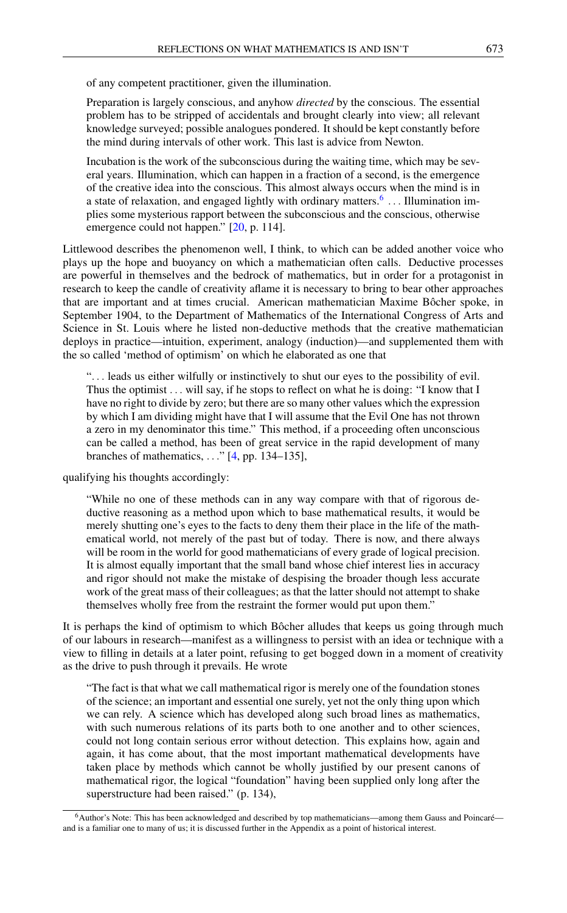of any competent practitioner, given the illumination.

Preparation is largely conscious, and anyhow *directed* by the conscious. The essential problem has to be stripped of accidentals and brought clearly into view; all relevant knowledge surveyed; possible analogues pondered. It should be kept constantly before the mind during intervals of other work. This last is advice from Newton.

Incubation is the work of the subconscious during the waiting time, which may be several years. Illumination, which can happen in a fraction of a second, is the emergence of the creative idea into the conscious. This almost always occurs when the mind is in a state of relaxation, and engaged lightly with ordinary matters.<sup>[6](#page-9-0)</sup> ... Illumination implies some mysterious rapport between the subconscious and the conscious, otherwise emergence could not happen." [\[20,](#page-34-8) p. 114].

Littlewood describes the phenomenon well, I think, to which can be added another voice who plays up the hope and buoyancy on which a mathematician often calls. Deductive processes are powerful in themselves and the bedrock of mathematics, but in order for a protagonist in research to keep the candle of creativity aflame it is necessary to bring to bear other approaches that are important and at times crucial. American mathematician Maxime Bôcher spoke, in September 1904, to the Department of Mathematics of the International Congress of Arts and Science in St. Louis where he listed non-deductive methods that the creative mathematician deploys in practice—intuition, experiment, analogy (induction)—and supplemented them with the so called 'method of optimism' on which he elaborated as one that

". . . leads us either wilfully or instinctively to shut our eyes to the possibility of evil. Thus the optimist . . . will say, if he stops to reflect on what he is doing: "I know that I have no right to divide by zero; but there are so many other values which the expression by which I am dividing might have that I will assume that the Evil One has not thrown a zero in my denominator this time." This method, if a proceeding often unconscious can be called a method, has been of great service in the rapid development of many branches of mathematics,  $\ldots$ " [\[4,](#page-34-9) pp. 134–135],

qualifying his thoughts accordingly:

"While no one of these methods can in any way compare with that of rigorous deductive reasoning as a method upon which to base mathematical results, it would be merely shutting one's eyes to the facts to deny them their place in the life of the mathematical world, not merely of the past but of today. There is now, and there always will be room in the world for good mathematicians of every grade of logical precision. It is almost equally important that the small band whose chief interest lies in accuracy and rigor should not make the mistake of despising the broader though less accurate work of the great mass of their colleagues; as that the latter should not attempt to shake themselves wholly free from the restraint the former would put upon them."

It is perhaps the kind of optimism to which Bôcher alludes that keeps us going through much of our labours in research—manifest as a willingness to persist with an idea or technique with a view to filling in details at a later point, refusing to get bogged down in a moment of creativity as the drive to push through it prevails. He wrote

"The fact is that what we call mathematical rigor is merely one of the foundation stones of the science; an important and essential one surely, yet not the only thing upon which we can rely. A science which has developed along such broad lines as mathematics, with such numerous relations of its parts both to one another and to other sciences, could not long contain serious error without detection. This explains how, again and again, it has come about, that the most important mathematical developments have taken place by methods which cannot be wholly justified by our present canons of mathematical rigor, the logical "foundation" having been supplied only long after the superstructure had been raised." (p. 134),

<span id="page-9-0"></span><sup>6</sup>Author's Note: This has been acknowledged and described by top mathematicians—among them Gauss and Poincaré and is a familiar one to many of us; it is discussed further in the Appendix as a point of historical interest.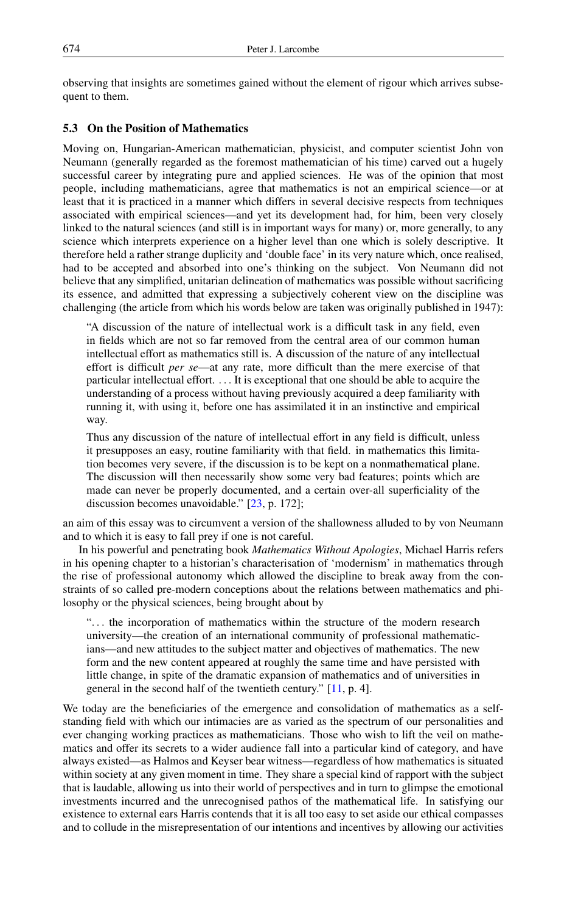observing that insights are sometimes gained without the element of rigour which arrives subsequent to them.

#### 5.3 On the Position of Mathematics

Moving on, Hungarian-American mathematician, physicist, and computer scientist John von Neumann (generally regarded as the foremost mathematician of his time) carved out a hugely successful career by integrating pure and applied sciences. He was of the opinion that most people, including mathematicians, agree that mathematics is not an empirical science—or at least that it is practiced in a manner which differs in several decisive respects from techniques associated with empirical sciences—and yet its development had, for him, been very closely linked to the natural sciences (and still is in important ways for many) or, more generally, to any science which interprets experience on a higher level than one which is solely descriptive. It therefore held a rather strange duplicity and 'double face' in its very nature which, once realised, had to be accepted and absorbed into one's thinking on the subject. Von Neumann did not believe that any simplified, unitarian delineation of mathematics was possible without sacrificing its essence, and admitted that expressing a subjectively coherent view on the discipline was challenging (the article from which his words below are taken was originally published in 1947):

"A discussion of the nature of intellectual work is a difficult task in any field, even in fields which are not so far removed from the central area of our common human intellectual effort as mathematics still is. A discussion of the nature of any intellectual effort is difficult *per se*—at any rate, more difficult than the mere exercise of that particular intellectual effort. . . . It is exceptional that one should be able to acquire the understanding of a process without having previously acquired a deep familiarity with running it, with using it, before one has assimilated it in an instinctive and empirical way.

Thus any discussion of the nature of intellectual effort in any field is difficult, unless it presupposes an easy, routine familiarity with that field. in mathematics this limitation becomes very severe, if the discussion is to be kept on a nonmathematical plane. The discussion will then necessarily show some very bad features; points which are made can never be properly documented, and a certain over-all superficiality of the discussion becomes unavoidable." [\[23,](#page-35-0) p. 172];

an aim of this essay was to circumvent a version of the shallowness alluded to by von Neumann and to which it is easy to fall prey if one is not careful.

In his powerful and penetrating book *Mathematics Without Apologies*, Michael Harris refers in his opening chapter to a historian's characterisation of 'modernism' in mathematics through the rise of professional autonomy which allowed the discipline to break away from the constraints of so called pre-modern conceptions about the relations between mathematics and philosophy or the physical sciences, being brought about by

". . . the incorporation of mathematics within the structure of the modern research university—the creation of an international community of professional mathematicians—and new attitudes to the subject matter and objectives of mathematics. The new form and the new content appeared at roughly the same time and have persisted with little change, in spite of the dramatic expansion of mathematics and of universities in general in the second half of the twentieth century." [\[11,](#page-34-10) p. 4].

We today are the beneficiaries of the emergence and consolidation of mathematics as a selfstanding field with which our intimacies are as varied as the spectrum of our personalities and ever changing working practices as mathematicians. Those who wish to lift the veil on mathematics and offer its secrets to a wider audience fall into a particular kind of category, and have always existed—as Halmos and Keyser bear witness—regardless of how mathematics is situated within society at any given moment in time. They share a special kind of rapport with the subject that is laudable, allowing us into their world of perspectives and in turn to glimpse the emotional investments incurred and the unrecognised pathos of the mathematical life. In satisfying our existence to external ears Harris contends that it is all too easy to set aside our ethical compasses and to collude in the misrepresentation of our intentions and incentives by allowing our activities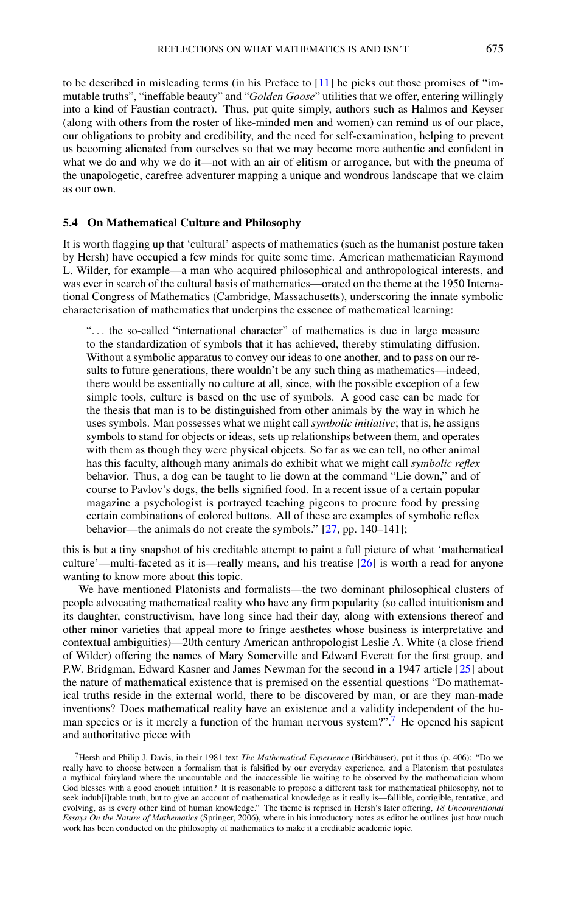to be described in misleading terms (in his Preface to [\[11\]](#page-34-10) he picks out those promises of "immutable truths", "ineffable beauty" and "*Golden Goose*" utilities that we offer, entering willingly into a kind of Faustian contract). Thus, put quite simply, authors such as Halmos and Keyser (along with others from the roster of like-minded men and women) can remind us of our place, our obligations to probity and credibility, and the need for self-examination, helping to prevent us becoming alienated from ourselves so that we may become more authentic and confident in what we do and why we do it—not with an air of elitism or arrogance, but with the pneuma of the unapologetic, carefree adventurer mapping a unique and wondrous landscape that we claim as our own.

#### 5.4 On Mathematical Culture and Philosophy

It is worth flagging up that 'cultural' aspects of mathematics (such as the humanist posture taken by Hersh) have occupied a few minds for quite some time. American mathematician Raymond L. Wilder, for example—a man who acquired philosophical and anthropological interests, and was ever in search of the cultural basis of mathematics—orated on the theme at the 1950 International Congress of Mathematics (Cambridge, Massachusetts), underscoring the innate symbolic characterisation of mathematics that underpins the essence of mathematical learning:

". . . the so-called "international character" of mathematics is due in large measure to the standardization of symbols that it has achieved, thereby stimulating diffusion. Without a symbolic apparatus to convey our ideas to one another, and to pass on our results to future generations, there wouldn't be any such thing as mathematics—indeed, there would be essentially no culture at all, since, with the possible exception of a few simple tools, culture is based on the use of symbols. A good case can be made for the thesis that man is to be distinguished from other animals by the way in which he uses symbols. Man possesses what we might call *symbolic initiative*; that is, he assigns symbols to stand for objects or ideas, sets up relationships between them, and operates with them as though they were physical objects. So far as we can tell, no other animal has this faculty, although many animals do exhibit what we might call *symbolic reflex* behavior. Thus, a dog can be taught to lie down at the command "Lie down," and of course to Pavlov's dogs, the bells signified food. In a recent issue of a certain popular magazine a psychologist is portrayed teaching pigeons to procure food by pressing certain combinations of colored buttons. All of these are examples of symbolic reflex behavior—the animals do not create the symbols." [\[27,](#page-35-1) pp. 140–141];

this is but a tiny snapshot of his creditable attempt to paint a full picture of what 'mathematical culture'—multi-faceted as it is—really means, and his treatise [\[26\]](#page-35-2) is worth a read for anyone wanting to know more about this topic.

We have mentioned Platonists and formalists—the two dominant philosophical clusters of people advocating mathematical reality who have any firm popularity (so called intuitionism and its daughter, constructivism, have long since had their day, along with extensions thereof and other minor varieties that appeal more to fringe aesthetes whose business is interpretative and contextual ambiguities)—20th century American anthropologist Leslie A. White (a close friend of Wilder) offering the names of Mary Somerville and Edward Everett for the first group, and P.W. Bridgman, Edward Kasner and James Newman for the second in a 1947 article [\[25\]](#page-35-3) about the nature of mathematical existence that is premised on the essential questions "Do mathematical truths reside in the external world, there to be discovered by man, or are they man-made inventions? Does mathematical reality have an existence and a validity independent of the hu-man species or is it merely a function of the human nervous system?".<sup>[7](#page-11-0)</sup> He opened his sapient and authoritative piece with

<span id="page-11-0"></span><sup>7</sup>Hersh and Philip J. Davis, in their 1981 text *The Mathematical Experience* (Birkhäuser), put it thus (p. 406): "Do we really have to choose between a formalism that is falsified by our everyday experience, and a Platonism that postulates a mythical fairyland where the uncountable and the inaccessible lie waiting to be observed by the mathematician whom God blesses with a good enough intuition? It is reasonable to propose a different task for mathematical philosophy, not to seek indub[i]table truth, but to give an account of mathematical knowledge as it really is—fallible, corrigible, tentative, and evolving, as is every other kind of human knowledge." The theme is reprised in Hersh's later offering, *18 Unconventional Essays On the Nature of Mathematics* (Springer, 2006), where in his introductory notes as editor he outlines just how much work has been conducted on the philosophy of mathematics to make it a creditable academic topic.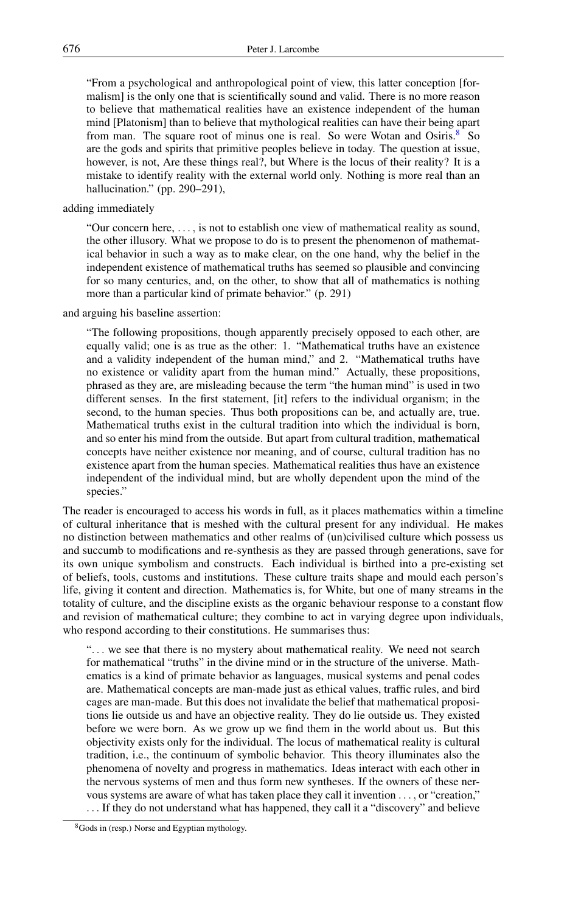"From a psychological and anthropological point of view, this latter conception [formalism] is the only one that is scientifically sound and valid. There is no more reason to believe that mathematical realities have an existence independent of the human mind [Platonism] than to believe that mythological realities can have their being apart from man. The square root of minus one is real. So were Wotan and Osiris.<sup>[8](#page-12-0)</sup> So are the gods and spirits that primitive peoples believe in today. The question at issue, however, is not, Are these things real?, but Where is the locus of their reality? It is a mistake to identify reality with the external world only. Nothing is more real than an hallucination." (pp. 290–291),

adding immediately

"Our concern here, . . . , is not to establish one view of mathematical reality as sound, the other illusory. What we propose to do is to present the phenomenon of mathematical behavior in such a way as to make clear, on the one hand, why the belief in the independent existence of mathematical truths has seemed so plausible and convincing for so many centuries, and, on the other, to show that all of mathematics is nothing more than a particular kind of primate behavior." (p. 291)

and arguing his baseline assertion:

"The following propositions, though apparently precisely opposed to each other, are equally valid; one is as true as the other: 1. "Mathematical truths have an existence and a validity independent of the human mind," and 2. "Mathematical truths have no existence or validity apart from the human mind." Actually, these propositions, phrased as they are, are misleading because the term "the human mind" is used in two different senses. In the first statement, [it] refers to the individual organism; in the second, to the human species. Thus both propositions can be, and actually are, true. Mathematical truths exist in the cultural tradition into which the individual is born, and so enter his mind from the outside. But apart from cultural tradition, mathematical concepts have neither existence nor meaning, and of course, cultural tradition has no existence apart from the human species. Mathematical realities thus have an existence independent of the individual mind, but are wholly dependent upon the mind of the species."

The reader is encouraged to access his words in full, as it places mathematics within a timeline of cultural inheritance that is meshed with the cultural present for any individual. He makes no distinction between mathematics and other realms of (un)civilised culture which possess us and succumb to modifications and re-synthesis as they are passed through generations, save for its own unique symbolism and constructs. Each individual is birthed into a pre-existing set of beliefs, tools, customs and institutions. These culture traits shape and mould each person's life, giving it content and direction. Mathematics is, for White, but one of many streams in the totality of culture, and the discipline exists as the organic behaviour response to a constant flow and revision of mathematical culture; they combine to act in varying degree upon individuals, who respond according to their constitutions. He summarises thus:

". . . we see that there is no mystery about mathematical reality. We need not search for mathematical "truths" in the divine mind or in the structure of the universe. Mathematics is a kind of primate behavior as languages, musical systems and penal codes are. Mathematical concepts are man-made just as ethical values, traffic rules, and bird cages are man-made. But this does not invalidate the belief that mathematical propositions lie outside us and have an objective reality. They do lie outside us. They existed before we were born. As we grow up we find them in the world about us. But this objectivity exists only for the individual. The locus of mathematical reality is cultural tradition, i.e., the continuum of symbolic behavior. This theory illuminates also the phenomena of novelty and progress in mathematics. Ideas interact with each other in the nervous systems of men and thus form new syntheses. If the owners of these nervous systems are aware of what has taken place they call it invention . . . , or "creation," . . . If they do not understand what has happened, they call it a "discovery" and believe

<span id="page-12-0"></span><sup>8</sup>Gods in (resp.) Norse and Egyptian mythology.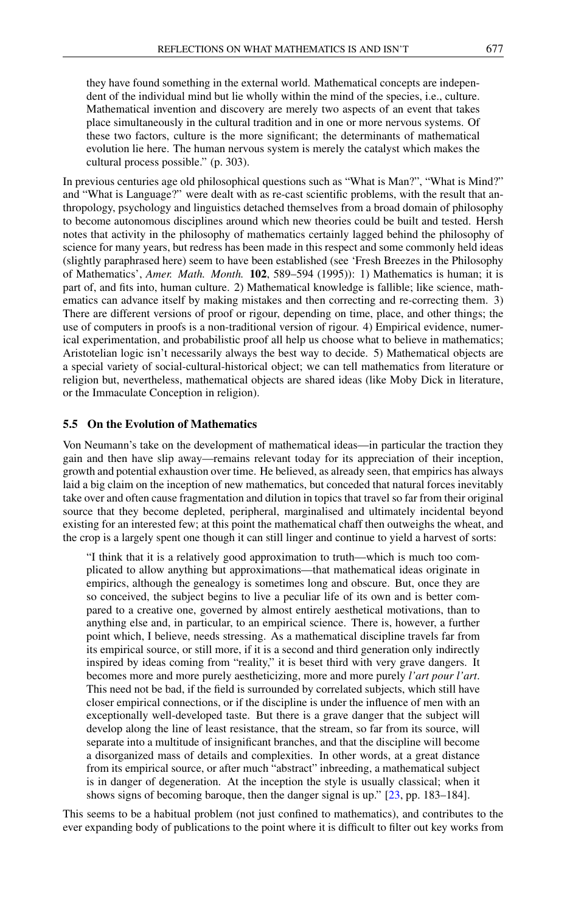they have found something in the external world. Mathematical concepts are independent of the individual mind but lie wholly within the mind of the species, i.e., culture. Mathematical invention and discovery are merely two aspects of an event that takes place simultaneously in the cultural tradition and in one or more nervous systems. Of these two factors, culture is the more significant; the determinants of mathematical evolution lie here. The human nervous system is merely the catalyst which makes the cultural process possible." (p. 303).

In previous centuries age old philosophical questions such as "What is Man?", "What is Mind?" and "What is Language?" were dealt with as re-cast scientific problems, with the result that anthropology, psychology and linguistics detached themselves from a broad domain of philosophy to become autonomous disciplines around which new theories could be built and tested. Hersh notes that activity in the philosophy of mathematics certainly lagged behind the philosophy of science for many years, but redress has been made in this respect and some commonly held ideas (slightly paraphrased here) seem to have been established (see 'Fresh Breezes in the Philosophy of Mathematics', *Amer. Math. Month.* 102, 589–594 (1995)): 1) Mathematics is human; it is part of, and fits into, human culture. 2) Mathematical knowledge is fallible; like science, mathematics can advance itself by making mistakes and then correcting and re-correcting them. 3) There are different versions of proof or rigour, depending on time, place, and other things; the use of computers in proofs is a non-traditional version of rigour. 4) Empirical evidence, numerical experimentation, and probabilistic proof all help us choose what to believe in mathematics; Aristotelian logic isn't necessarily always the best way to decide. 5) Mathematical objects are a special variety of social-cultural-historical object; we can tell mathematics from literature or religion but, nevertheless, mathematical objects are shared ideas (like Moby Dick in literature, or the Immaculate Conception in religion).

# 5.5 On the Evolution of Mathematics

Von Neumann's take on the development of mathematical ideas—in particular the traction they gain and then have slip away—remains relevant today for its appreciation of their inception, growth and potential exhaustion over time. He believed, as already seen, that empirics has always laid a big claim on the inception of new mathematics, but conceded that natural forces inevitably take over and often cause fragmentation and dilution in topics that travel so far from their original source that they become depleted, peripheral, marginalised and ultimately incidental beyond existing for an interested few; at this point the mathematical chaff then outweighs the wheat, and the crop is a largely spent one though it can still linger and continue to yield a harvest of sorts:

"I think that it is a relatively good approximation to truth—which is much too complicated to allow anything but approximations—that mathematical ideas originate in empirics, although the genealogy is sometimes long and obscure. But, once they are so conceived, the subject begins to live a peculiar life of its own and is better compared to a creative one, governed by almost entirely aesthetical motivations, than to anything else and, in particular, to an empirical science. There is, however, a further point which, I believe, needs stressing. As a mathematical discipline travels far from its empirical source, or still more, if it is a second and third generation only indirectly inspired by ideas coming from "reality," it is beset third with very grave dangers. It becomes more and more purely aestheticizing, more and more purely *l'art pour l'art*. This need not be bad, if the field is surrounded by correlated subjects, which still have closer empirical connections, or if the discipline is under the influence of men with an exceptionally well-developed taste. But there is a grave danger that the subject will develop along the line of least resistance, that the stream, so far from its source, will separate into a multitude of insignificant branches, and that the discipline will become a disorganized mass of details and complexities. In other words, at a great distance from its empirical source, or after much "abstract" inbreeding, a mathematical subject is in danger of degeneration. At the inception the style is usually classical; when it shows signs of becoming baroque, then the danger signal is up." [\[23,](#page-35-0) pp. 183–184].

This seems to be a habitual problem (not just confined to mathematics), and contributes to the ever expanding body of publications to the point where it is difficult to filter out key works from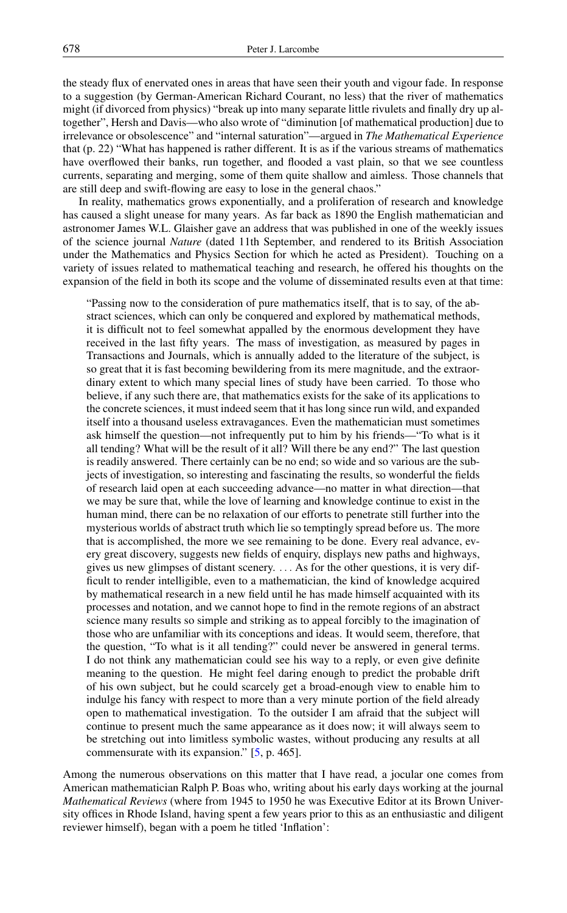the steady flux of enervated ones in areas that have seen their youth and vigour fade. In response to a suggestion (by German-American Richard Courant, no less) that the river of mathematics might (if divorced from physics) "break up into many separate little rivulets and finally dry up altogether", Hersh and Davis—who also wrote of "diminution [of mathematical production] due to irrelevance or obsolescence" and "internal saturation"—argued in *The Mathematical Experience* that (p. 22) "What has happened is rather different. It is as if the various streams of mathematics have overflowed their banks, run together, and flooded a vast plain, so that we see countless currents, separating and merging, some of them quite shallow and aimless. Those channels that are still deep and swift-flowing are easy to lose in the general chaos."

In reality, mathematics grows exponentially, and a proliferation of research and knowledge has caused a slight unease for many years. As far back as 1890 the English mathematician and astronomer James W.L. Glaisher gave an address that was published in one of the weekly issues of the science journal *Nature* (dated 11th September, and rendered to its British Association under the Mathematics and Physics Section for which he acted as President). Touching on a variety of issues related to mathematical teaching and research, he offered his thoughts on the expansion of the field in both its scope and the volume of disseminated results even at that time:

"Passing now to the consideration of pure mathematics itself, that is to say, of the abstract sciences, which can only be conquered and explored by mathematical methods, it is difficult not to feel somewhat appalled by the enormous development they have received in the last fifty years. The mass of investigation, as measured by pages in Transactions and Journals, which is annually added to the literature of the subject, is so great that it is fast becoming bewildering from its mere magnitude, and the extraordinary extent to which many special lines of study have been carried. To those who believe, if any such there are, that mathematics exists for the sake of its applications to the concrete sciences, it must indeed seem that it has long since run wild, and expanded itself into a thousand useless extravagances. Even the mathematician must sometimes ask himself the question—not infrequently put to him by his friends—"To what is it all tending? What will be the result of it all? Will there be any end?" The last question is readily answered. There certainly can be no end; so wide and so various are the subjects of investigation, so interesting and fascinating the results, so wonderful the fields of research laid open at each succeeding advance—no matter in what direction—that we may be sure that, while the love of learning and knowledge continue to exist in the human mind, there can be no relaxation of our efforts to penetrate still further into the mysterious worlds of abstract truth which lie so temptingly spread before us. The more that is accomplished, the more we see remaining to be done. Every real advance, every great discovery, suggests new fields of enquiry, displays new paths and highways, gives us new glimpses of distant scenery. . . . As for the other questions, it is very difficult to render intelligible, even to a mathematician, the kind of knowledge acquired by mathematical research in a new field until he has made himself acquainted with its processes and notation, and we cannot hope to find in the remote regions of an abstract science many results so simple and striking as to appeal forcibly to the imagination of those who are unfamiliar with its conceptions and ideas. It would seem, therefore, that the question, "To what is it all tending?" could never be answered in general terms. I do not think any mathematician could see his way to a reply, or even give definite meaning to the question. He might feel daring enough to predict the probable drift of his own subject, but he could scarcely get a broad-enough view to enable him to indulge his fancy with respect to more than a very minute portion of the field already open to mathematical investigation. To the outsider I am afraid that the subject will continue to present much the same appearance as it does now; it will always seem to be stretching out into limitless symbolic wastes, without producing any results at all commensurate with its expansion." [\[5,](#page-34-11) p. 465].

Among the numerous observations on this matter that I have read, a jocular one comes from American mathematician Ralph P. Boas who, writing about his early days working at the journal *Mathematical Reviews* (where from 1945 to 1950 he was Executive Editor at its Brown University offices in Rhode Island, having spent a few years prior to this as an enthusiastic and diligent reviewer himself), began with a poem he titled 'Inflation':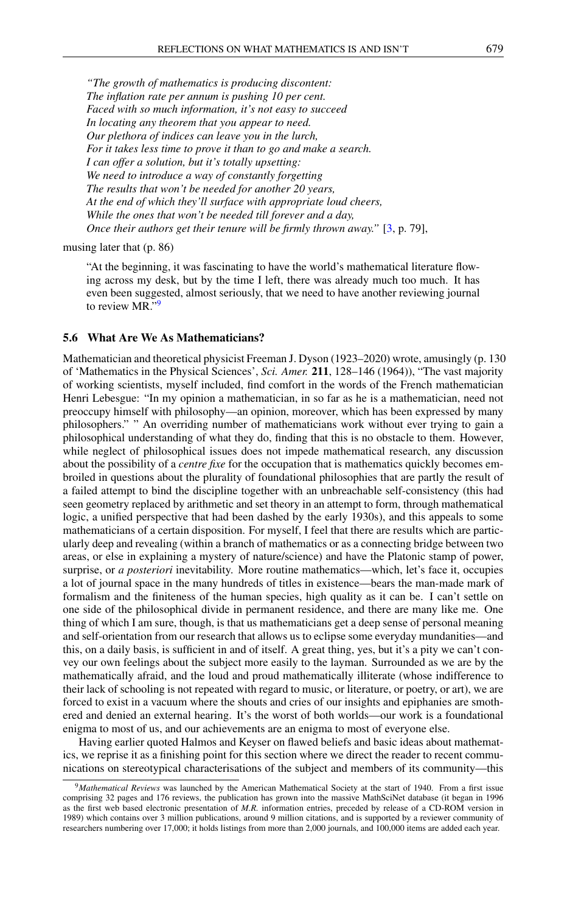*"The growth of mathematics is producing discontent: The inflation rate per annum is pushing 10 per cent. Faced with so much information, it's not easy to succeed In locating any theorem that you appear to need. Our plethora of indices can leave you in the lurch, For it takes less time to prove it than to go and make a search. I can offer a solution, but it's totally upsetting: We need to introduce a way of constantly forgetting The results that won't be needed for another 20 years, At the end of which they'll surface with appropriate loud cheers, While the ones that won't be needed till forever and a day, Once their authors get their tenure will be firmly thrown away."* [\[3,](#page-34-12) p. 79],

musing later that (p. 86)

"At the beginning, it was fascinating to have the world's mathematical literature flowing across my desk, but by the time I left, there was already much too much. It has even been suggested, almost seriously, that we need to have another reviewing journal to review MR."<sup>[9](#page-15-0)</sup>

## 5.6 What Are We As Mathematicians?

Mathematician and theoretical physicist Freeman J. Dyson (1923–2020) wrote, amusingly (p. 130 of 'Mathematics in the Physical Sciences', *Sci. Amer.* 211, 128–146 (1964)), "The vast majority of working scientists, myself included, find comfort in the words of the French mathematician Henri Lebesgue: "In my opinion a mathematician, in so far as he is a mathematician, need not preoccupy himself with philosophy—an opinion, moreover, which has been expressed by many philosophers." " An overriding number of mathematicians work without ever trying to gain a philosophical understanding of what they do, finding that this is no obstacle to them. However, while neglect of philosophical issues does not impede mathematical research, any discussion about the possibility of a *centre fixe* for the occupation that is mathematics quickly becomes embroiled in questions about the plurality of foundational philosophies that are partly the result of a failed attempt to bind the discipline together with an unbreachable self-consistency (this had seen geometry replaced by arithmetic and set theory in an attempt to form, through mathematical logic, a unified perspective that had been dashed by the early 1930s), and this appeals to some mathematicians of a certain disposition. For myself, I feel that there are results which are particularly deep and revealing (within a branch of mathematics or as a connecting bridge between two areas, or else in explaining a mystery of nature/science) and have the Platonic stamp of power, surprise, or *a posteriori* inevitability. More routine mathematics—which, let's face it, occupies a lot of journal space in the many hundreds of titles in existence—bears the man-made mark of formalism and the finiteness of the human species, high quality as it can be. I can't settle on one side of the philosophical divide in permanent residence, and there are many like me. One thing of which I am sure, though, is that us mathematicians get a deep sense of personal meaning and self-orientation from our research that allows us to eclipse some everyday mundanities—and this, on a daily basis, is sufficient in and of itself. A great thing, yes, but it's a pity we can't convey our own feelings about the subject more easily to the layman. Surrounded as we are by the mathematically afraid, and the loud and proud mathematically illiterate (whose indifference to their lack of schooling is not repeated with regard to music, or literature, or poetry, or art), we are forced to exist in a vacuum where the shouts and cries of our insights and epiphanies are smothered and denied an external hearing. It's the worst of both worlds—our work is a foundational enigma to most of us, and our achievements are an enigma to most of everyone else.

Having earlier quoted Halmos and Keyser on flawed beliefs and basic ideas about mathematics, we reprise it as a finishing point for this section where we direct the reader to recent communications on stereotypical characterisations of the subject and members of its community—this

<span id="page-15-0"></span><sup>9</sup>*Mathematical Reviews* was launched by the American Mathematical Society at the start of 1940. From a first issue comprising 32 pages and 176 reviews, the publication has grown into the massive MathSciNet database (it began in 1996 as the first web based electronic presentation of *M.R.* information entries, preceded by release of a CD-ROM version in 1989) which contains over 3 million publications, around 9 million citations, and is supported by a reviewer community of researchers numbering over 17,000; it holds listings from more than 2,000 journals, and 100,000 items are added each year.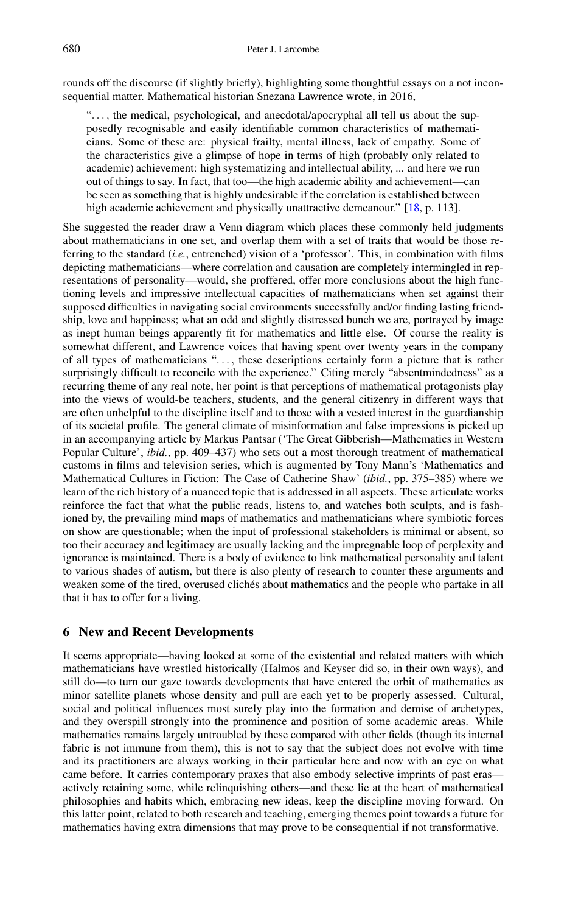rounds off the discourse (if slightly briefly), highlighting some thoughtful essays on a not inconsequential matter. Mathematical historian Snezana Lawrence wrote, in 2016,

". . . , the medical, psychological, and anecdotal/apocryphal all tell us about the supposedly recognisable and easily identifiable common characteristics of mathematicians. Some of these are: physical frailty, mental illness, lack of empathy. Some of the characteristics give a glimpse of hope in terms of high (probably only related to academic) achievement: high systematizing and intellectual ability, ... and here we run out of things to say. In fact, that too—the high academic ability and achievement—can be seen as something that is highly undesirable if the correlation is established between high academic achievement and physically unattractive demeanour." [\[18,](#page-34-13) p. 113].

She suggested the reader draw a Venn diagram which places these commonly held judgments about mathematicians in one set, and overlap them with a set of traits that would be those referring to the standard (*i.e.*, entrenched) vision of a 'professor'. This, in combination with films depicting mathematicians—where correlation and causation are completely intermingled in representations of personality—would, she proffered, offer more conclusions about the high functioning levels and impressive intellectual capacities of mathematicians when set against their supposed difficulties in navigating social environments successfully and/or finding lasting friendship, love and happiness; what an odd and slightly distressed bunch we are, portrayed by image as inept human beings apparently fit for mathematics and little else. Of course the reality is somewhat different, and Lawrence voices that having spent over twenty years in the company of all types of mathematicians ". . . , these descriptions certainly form a picture that is rather surprisingly difficult to reconcile with the experience." Citing merely "absentmindedness" as a recurring theme of any real note, her point is that perceptions of mathematical protagonists play into the views of would-be teachers, students, and the general citizenry in different ways that are often unhelpful to the discipline itself and to those with a vested interest in the guardianship of its societal profile. The general climate of misinformation and false impressions is picked up in an accompanying article by Markus Pantsar ('The Great Gibberish—Mathematics in Western Popular Culture', *ibid.*, pp. 409–437) who sets out a most thorough treatment of mathematical customs in films and television series, which is augmented by Tony Mann's 'Mathematics and Mathematical Cultures in Fiction: The Case of Catherine Shaw' (*ibid.*, pp. 375–385) where we learn of the rich history of a nuanced topic that is addressed in all aspects. These articulate works reinforce the fact that what the public reads, listens to, and watches both sculpts, and is fashioned by, the prevailing mind maps of mathematics and mathematicians where symbiotic forces on show are questionable; when the input of professional stakeholders is minimal or absent, so too their accuracy and legitimacy are usually lacking and the impregnable loop of perplexity and ignorance is maintained. There is a body of evidence to link mathematical personality and talent to various shades of autism, but there is also plenty of research to counter these arguments and weaken some of the tired, overused clichés about mathematics and the people who partake in all that it has to offer for a living.

# 6 New and Recent Developments

It seems appropriate—having looked at some of the existential and related matters with which mathematicians have wrestled historically (Halmos and Keyser did so, in their own ways), and still do—to turn our gaze towards developments that have entered the orbit of mathematics as minor satellite planets whose density and pull are each yet to be properly assessed. Cultural, social and political influences most surely play into the formation and demise of archetypes, and they overspill strongly into the prominence and position of some academic areas. While mathematics remains largely untroubled by these compared with other fields (though its internal fabric is not immune from them), this is not to say that the subject does not evolve with time and its practitioners are always working in their particular here and now with an eye on what came before. It carries contemporary praxes that also embody selective imprints of past eras actively retaining some, while relinquishing others—and these lie at the heart of mathematical philosophies and habits which, embracing new ideas, keep the discipline moving forward. On this latter point, related to both research and teaching, emerging themes point towards a future for mathematics having extra dimensions that may prove to be consequential if not transformative.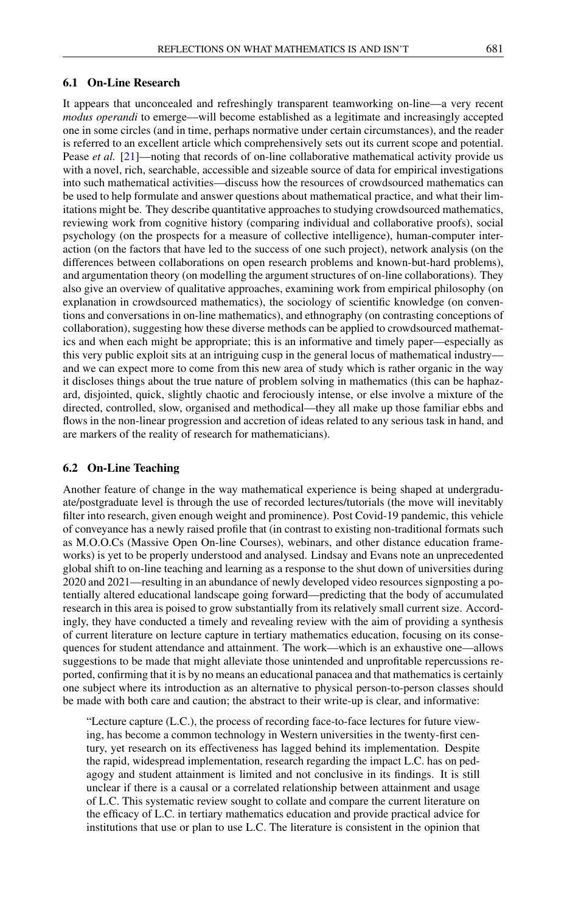## 6.1 On-Line Research

It appears that unconcealed and refreshingly transparent teamworking on-line—a very recent *modus operandi* to emerge—will become established as a legitimate and increasingly accepted one in some circles (and in time, perhaps normative under certain circumstances), and the reader is referred to an excellent article which comprehensively sets out its current scope and potential. Pease *et al.* [\[21\]](#page-35-4)—noting that records of on-line collaborative mathematical activity provide us with a novel, rich, searchable, accessible and sizeable source of data for empirical investigations into such mathematical activities—discuss how the resources of crowdsourced mathematics can be used to help formulate and answer questions about mathematical practice, and what their limitations might be. They describe quantitative approaches to studying crowdsourced mathematics, reviewing work from cognitive history (comparing individual and collaborative proofs), social psychology (on the prospects for a measure of collective intelligence), human-computer interaction (on the factors that have led to the success of one such project), network analysis (on the differences between collaborations on open research problems and known-but-hard problems), and argumentation theory (on modelling the argument structures of on-line collaborations). They also give an overview of qualitative approaches, examining work from empirical philosophy (on explanation in crowdsourced mathematics), the sociology of scientific knowledge (on conventions and conversations in on-line mathematics), and ethnography (on contrasting conceptions of collaboration), suggesting how these diverse methods can be applied to crowdsourced mathematics and when each might be appropriate; this is an informative and timely paper—especially as this very public exploit sits at an intriguing cusp in the general locus of mathematical industry and we can expect more to come from this new area of study which is rather organic in the way it discloses things about the true nature of problem solving in mathematics (this can be haphazard, disjointed, quick, slightly chaotic and ferociously intense, or else involve a mixture of the directed, controlled, slow, organised and methodical—they all make up those familiar ebbs and flows in the non-linear progression and accretion of ideas related to any serious task in hand, and are markers of the reality of research for mathematicians).

#### 6.2 On-Line Teaching

Another feature of change in the way mathematical experience is being shaped at undergraduate/postgraduate level is through the use of recorded lectures/tutorials (the move will inevitably filter into research, given enough weight and prominence). Post Covid-19 pandemic, this vehicle of conveyance has a newly raised profile that (in contrast to existing non-traditional formats such as M.O.O.Cs (Massive Open On-line Courses), webinars, and other distance education frameworks) is yet to be properly understood and analysed. Lindsay and Evans note an unprecedented global shift to on-line teaching and learning as a response to the shut down of universities during 2020 and 2021—resulting in an abundance of newly developed video resources signposting a potentially altered educational landscape going forward—predicting that the body of accumulated research in this area is poised to grow substantially from its relatively small current size. Accordingly, they have conducted a timely and revealing review with the aim of providing a synthesis of current literature on lecture capture in tertiary mathematics education, focusing on its consequences for student attendance and attainment. The work—which is an exhaustive one—allows suggestions to be made that might alleviate those unintended and unprofitable repercussions reported, confirming that it is by no means an educational panacea and that mathematics is certainly one subject where its introduction as an alternative to physical person-to-person classes should be made with both care and caution; the abstract to their write-up is clear, and informative:

"Lecture capture (L.C.), the process of recording face-to-face lectures for future viewing, has become a common technology in Western universities in the twenty-first century, yet research on its effectiveness has lagged behind its implementation. Despite the rapid, widespread implementation, research regarding the impact L.C. has on pedagogy and student attainment is limited and not conclusive in its findings. It is still unclear if there is a causal or a correlated relationship between attainment and usage of L.C. This systematic review sought to collate and compare the current literature on the efficacy of L.C. in tertiary mathematics education and provide practical advice for institutions that use or plan to use L.C. The literature is consistent in the opinion that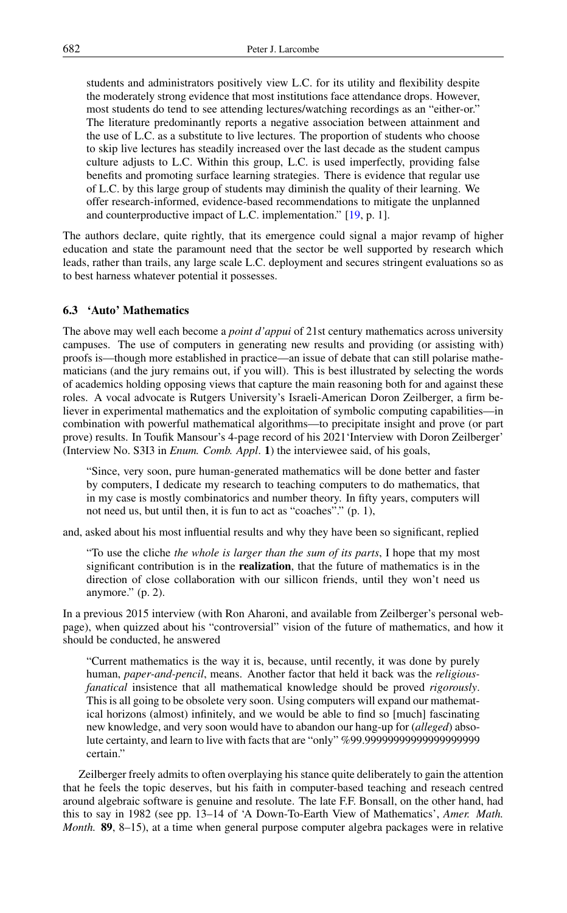students and administrators positively view L.C. for its utility and flexibility despite the moderately strong evidence that most institutions face attendance drops. However, most students do tend to see attending lectures/watching recordings as an "either-or." The literature predominantly reports a negative association between attainment and the use of L.C. as a substitute to live lectures. The proportion of students who choose to skip live lectures has steadily increased over the last decade as the student campus culture adjusts to L.C. Within this group, L.C. is used imperfectly, providing false benefits and promoting surface learning strategies. There is evidence that regular use of L.C. by this large group of students may diminish the quality of their learning. We offer research-informed, evidence-based recommendations to mitigate the unplanned and counterproductive impact of L.C. implementation." [\[19,](#page-34-14) p. 1].

The authors declare, quite rightly, that its emergence could signal a major revamp of higher education and state the paramount need that the sector be well supported by research which leads, rather than trails, any large scale L.C. deployment and secures stringent evaluations so as to best harness whatever potential it possesses.

## 6.3 'Auto' Mathematics

The above may well each become a *point d'appui* of 21st century mathematics across university campuses. The use of computers in generating new results and providing (or assisting with) proofs is—though more established in practice—an issue of debate that can still polarise mathematicians (and the jury remains out, if you will). This is best illustrated by selecting the words of academics holding opposing views that capture the main reasoning both for and against these roles. A vocal advocate is Rutgers University's Israeli-American Doron Zeilberger, a firm believer in experimental mathematics and the exploitation of symbolic computing capabilities—in combination with powerful mathematical algorithms—to precipitate insight and prove (or part prove) results. In Toufik Mansour's 4-page record of his 2021'Interview with Doron Zeilberger' (Interview No. S3I3 in *Enum. Comb. Appl*. 1) the interviewee said, of his goals,

"Since, very soon, pure human-generated mathematics will be done better and faster by computers, I dedicate my research to teaching computers to do mathematics, that in my case is mostly combinatorics and number theory. In fifty years, computers will not need us, but until then, it is fun to act as "coaches"." (p. 1),

and, asked about his most influential results and why they have been so significant, replied

"To use the cliche *the whole is larger than the sum of its parts*, I hope that my most significant contribution is in the realization, that the future of mathematics is in the direction of close collaboration with our sillicon friends, until they won't need us anymore." (p. 2).

In a previous 2015 interview (with Ron Aharoni, and available from Zeilberger's personal webpage), when quizzed about his "controversial" vision of the future of mathematics, and how it should be conducted, he answered

"Current mathematics is the way it is, because, until recently, it was done by purely human, *paper-and-pencil*, means. Another factor that held it back was the *religiousfanatical* insistence that all mathematical knowledge should be proved *rigorously*. This is all going to be obsolete very soon. Using computers will expand our mathematical horizons (almost) infinitely, and we would be able to find so [much] fascinating new knowledge, and very soon would have to abandon our hang-up for (*alleged*) absolute certainty, and learn to live with facts that are "only" %99.99999999999999999999 certain."

Zeilberger freely admits to often overplaying his stance quite deliberately to gain the attention that he feels the topic deserves, but his faith in computer-based teaching and reseach centred around algebraic software is genuine and resolute. The late F.F. Bonsall, on the other hand, had this to say in 1982 (see pp. 13–14 of 'A Down-To-Earth View of Mathematics', *Amer. Math. Month.* **89**, 8–15), at a time when general purpose computer algebra packages were in relative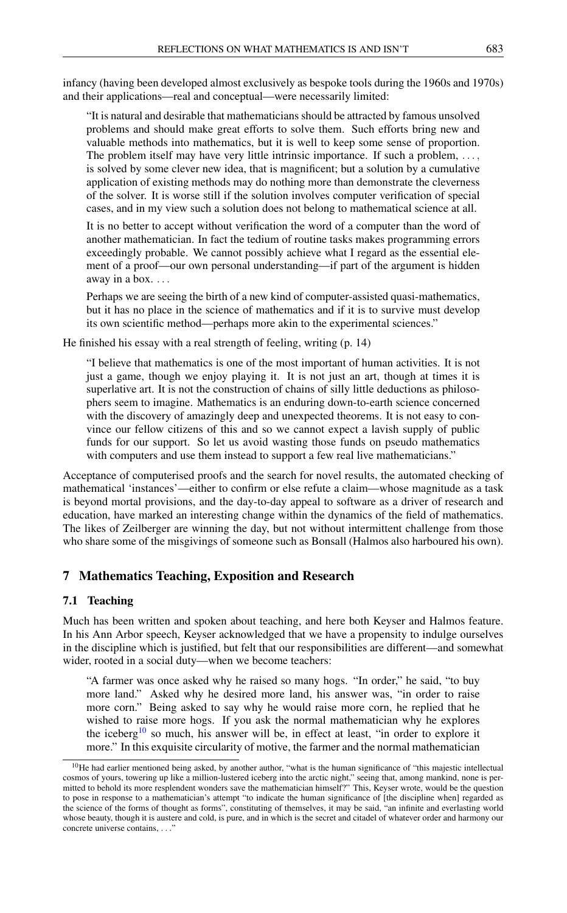infancy (having been developed almost exclusively as bespoke tools during the 1960s and 1970s) and their applications—real and conceptual—were necessarily limited:

"It is natural and desirable that mathematicians should be attracted by famous unsolved problems and should make great efforts to solve them. Such efforts bring new and valuable methods into mathematics, but it is well to keep some sense of proportion. The problem itself may have very little intrinsic importance. If such a problem, ..., is solved by some clever new idea, that is magnificent; but a solution by a cumulative application of existing methods may do nothing more than demonstrate the cleverness of the solver. It is worse still if the solution involves computer verification of special cases, and in my view such a solution does not belong to mathematical science at all.

It is no better to accept without verification the word of a computer than the word of another mathematician. In fact the tedium of routine tasks makes programming errors exceedingly probable. We cannot possibly achieve what I regard as the essential element of a proof—our own personal understanding—if part of the argument is hidden away in a box. . . .

Perhaps we are seeing the birth of a new kind of computer-assisted quasi-mathematics, but it has no place in the science of mathematics and if it is to survive must develop its own scientific method—perhaps more akin to the experimental sciences."

He finished his essay with a real strength of feeling, writing (p. 14)

"I believe that mathematics is one of the most important of human activities. It is not just a game, though we enjoy playing it. It is not just an art, though at times it is superlative art. It is not the construction of chains of silly little deductions as philosophers seem to imagine. Mathematics is an enduring down-to-earth science concerned with the discovery of amazingly deep and unexpected theorems. It is not easy to convince our fellow citizens of this and so we cannot expect a lavish supply of public funds for our support. So let us avoid wasting those funds on pseudo mathematics with computers and use them instead to support a few real live mathematicians."

Acceptance of computerised proofs and the search for novel results, the automated checking of mathematical 'instances'—either to confirm or else refute a claim—whose magnitude as a task is beyond mortal provisions, and the day-to-day appeal to software as a driver of research and education, have marked an interesting change within the dynamics of the field of mathematics. The likes of Zeilberger are winning the day, but not without intermittent challenge from those who share some of the misgivings of someone such as Bonsall (Halmos also harboured his own).

# 7 Mathematics Teaching, Exposition and Research

#### 7.1 Teaching

Much has been written and spoken about teaching, and here both Keyser and Halmos feature. In his Ann Arbor speech, Keyser acknowledged that we have a propensity to indulge ourselves in the discipline which is justified, but felt that our responsibilities are different—and somewhat wider, rooted in a social duty—when we become teachers:

"A farmer was once asked why he raised so many hogs. "In order," he said, "to buy more land." Asked why he desired more land, his answer was, "in order to raise more corn." Being asked to say why he would raise more corn, he replied that he wished to raise more hogs. If you ask the normal mathematician why he explores the iceberg<sup>[10](#page-19-0)</sup> so much, his answer will be, in effect at least, "in order to explore it more." In this exquisite circularity of motive, the farmer and the normal mathematician

<span id="page-19-0"></span> $10$ He had earlier mentioned being asked, by another author, "what is the human significance of "this majestic intellectual cosmos of yours, towering up like a million-lustered iceberg into the arctic night," seeing that, among mankind, none is permitted to behold its more resplendent wonders save the mathematician himself?" This, Keyser wrote, would be the question to pose in response to a mathematician's attempt "to indicate the human significance of [the discipline when] regarded as the science of the forms of thought as forms", constituting of themselves, it may be said, "an infinite and everlasting world whose beauty, though it is austere and cold, is pure, and in which is the secret and citadel of whatever order and harmony our concrete universe contains, ..."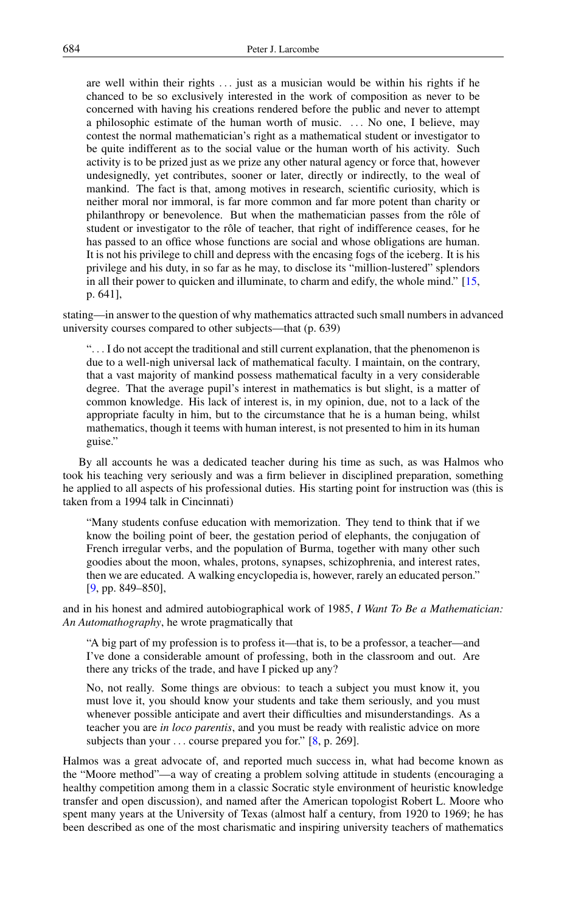are well within their rights . . . just as a musician would be within his rights if he chanced to be so exclusively interested in the work of composition as never to be concerned with having his creations rendered before the public and never to attempt a philosophic estimate of the human worth of music. . . . No one, I believe, may contest the normal mathematician's right as a mathematical student or investigator to be quite indifferent as to the social value or the human worth of his activity. Such activity is to be prized just as we prize any other natural agency or force that, however undesignedly, yet contributes, sooner or later, directly or indirectly, to the weal of mankind. The fact is that, among motives in research, scientific curiosity, which is neither moral nor immoral, is far more common and far more potent than charity or philanthropy or benevolence. But when the mathematician passes from the rôle of student or investigator to the rôle of teacher, that right of indifference ceases, for he has passed to an office whose functions are social and whose obligations are human. It is not his privilege to chill and depress with the encasing fogs of the iceberg. It is his privilege and his duty, in so far as he may, to disclose its "million-lustered" splendors in all their power to quicken and illuminate, to charm and edify, the whole mind." [\[15,](#page-34-2) p. 641],

stating—in answer to the question of why mathematics attracted such small numbers in advanced university courses compared to other subjects—that (p. 639)

". . . I do not accept the traditional and still current explanation, that the phenomenon is due to a well-nigh universal lack of mathematical faculty. I maintain, on the contrary, that a vast majority of mankind possess mathematical faculty in a very considerable degree. That the average pupil's interest in mathematics is but slight, is a matter of common knowledge. His lack of interest is, in my opinion, due, not to a lack of the appropriate faculty in him, but to the circumstance that he is a human being, whilst mathematics, though it teems with human interest, is not presented to him in its human guise."

By all accounts he was a dedicated teacher during his time as such, as was Halmos who took his teaching very seriously and was a firm believer in disciplined preparation, something he applied to all aspects of his professional duties. His starting point for instruction was (this is taken from a 1994 talk in Cincinnati)

"Many students confuse education with memorization. They tend to think that if we know the boiling point of beer, the gestation period of elephants, the conjugation of French irregular verbs, and the population of Burma, together with many other such goodies about the moon, whales, protons, synapses, schizophrenia, and interest rates, then we are educated. A walking encyclopedia is, however, rarely an educated person." [\[9,](#page-34-15) pp. 849–850],

and in his honest and admired autobiographical work of 1985, *I Want To Be a Mathematician: An Automathography*, he wrote pragmatically that

"A big part of my profession is to profess it—that is, to be a professor, a teacher—and I've done a considerable amount of professing, both in the classroom and out. Are there any tricks of the trade, and have I picked up any?

No, not really. Some things are obvious: to teach a subject you must know it, you must love it, you should know your students and take them seriously, and you must whenever possible anticipate and avert their difficulties and misunderstandings. As a teacher you are *in loco parentis*, and you must be ready with realistic advice on more subjects than your  $\ldots$  course prepared you for." [\[8,](#page-34-16) p. 269].

Halmos was a great advocate of, and reported much success in, what had become known as the "Moore method"—a way of creating a problem solving attitude in students (encouraging a healthy competition among them in a classic Socratic style environment of heuristic knowledge transfer and open discussion), and named after the American topologist Robert L. Moore who spent many years at the University of Texas (almost half a century, from 1920 to 1969; he has been described as one of the most charismatic and inspiring university teachers of mathematics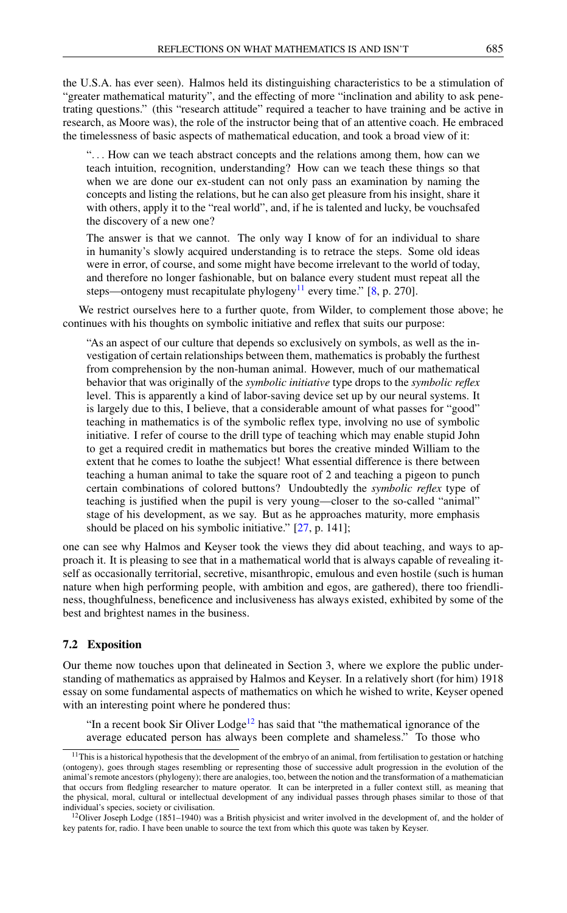the U.S.A. has ever seen). Halmos held its distinguishing characteristics to be a stimulation of "greater mathematical maturity", and the effecting of more "inclination and ability to ask penetrating questions." (this "research attitude" required a teacher to have training and be active in research, as Moore was), the role of the instructor being that of an attentive coach. He embraced the timelessness of basic aspects of mathematical education, and took a broad view of it:

". . . How can we teach abstract concepts and the relations among them, how can we teach intuition, recognition, understanding? How can we teach these things so that when we are done our ex-student can not only pass an examination by naming the concepts and listing the relations, but he can also get pleasure from his insight, share it with others, apply it to the "real world", and, if he is talented and lucky, be vouchsafed the discovery of a new one?

The answer is that we cannot. The only way I know of for an individual to share in humanity's slowly acquired understanding is to retrace the steps. Some old ideas were in error, of course, and some might have become irrelevant to the world of today, and therefore no longer fashionable, but on balance every student must repeat all the steps—ontogeny must recapitulate phylogeny<sup>[11](#page-21-0)</sup> every time." [\[8,](#page-34-16) p. 270].

We restrict ourselves here to a further quote, from Wilder, to complement those above; he continues with his thoughts on symbolic initiative and reflex that suits our purpose:

"As an aspect of our culture that depends so exclusively on symbols, as well as the investigation of certain relationships between them, mathematics is probably the furthest from comprehension by the non-human animal. However, much of our mathematical behavior that was originally of the *symbolic initiative* type drops to the *symbolic reflex* level. This is apparently a kind of labor-saving device set up by our neural systems. It is largely due to this, I believe, that a considerable amount of what passes for "good" teaching in mathematics is of the symbolic reflex type, involving no use of symbolic initiative. I refer of course to the drill type of teaching which may enable stupid John to get a required credit in mathematics but bores the creative minded William to the extent that he comes to loathe the subject! What essential difference is there between teaching a human animal to take the square root of 2 and teaching a pigeon to punch certain combinations of colored buttons? Undoubtedly the *symbolic reflex* type of teaching is justified when the pupil is very young—closer to the so-called "animal" stage of his development, as we say. But as he approaches maturity, more emphasis should be placed on his symbolic initiative." [\[27,](#page-35-1) p. 141];

one can see why Halmos and Keyser took the views they did about teaching, and ways to approach it. It is pleasing to see that in a mathematical world that is always capable of revealing itself as occasionally territorial, secretive, misanthropic, emulous and even hostile (such is human nature when high performing people, with ambition and egos, are gathered), there too friendliness, thoughfulness, beneficence and inclusiveness has always existed, exhibited by some of the best and brightest names in the business.

## 7.2 Exposition

Our theme now touches upon that delineated in Section 3, where we explore the public understanding of mathematics as appraised by Halmos and Keyser. In a relatively short (for him) 1918 essay on some fundamental aspects of mathematics on which he wished to write, Keyser opened with an interesting point where he pondered thus:

"In a recent book Sir Oliver Lodge<sup>[12](#page-21-1)</sup> has said that "the mathematical ignorance of the average educated person has always been complete and shameless." To those who

<span id="page-21-0"></span> $11$ This is a historical hypothesis that the development of the embryo of an animal, from fertilisation to gestation or hatching (ontogeny), goes through stages resembling or representing those of successive adult progression in the evolution of the animal's remote ancestors (phylogeny); there are analogies, too, between the notion and the transformation of a mathematician that occurs from fledgling researcher to mature operator. It can be interpreted in a fuller context still, as meaning that the physical, moral, cultural or intellectual development of any individual passes through phases similar to those of that individual's species, society or civilisation.

<span id="page-21-1"></span><sup>&</sup>lt;sup>12</sup>Oliver Joseph Lodge (1851–1940) was a British physicist and writer involved in the development of, and the holder of key patents for, radio. I have been unable to source the text from which this quote was taken by Keyser.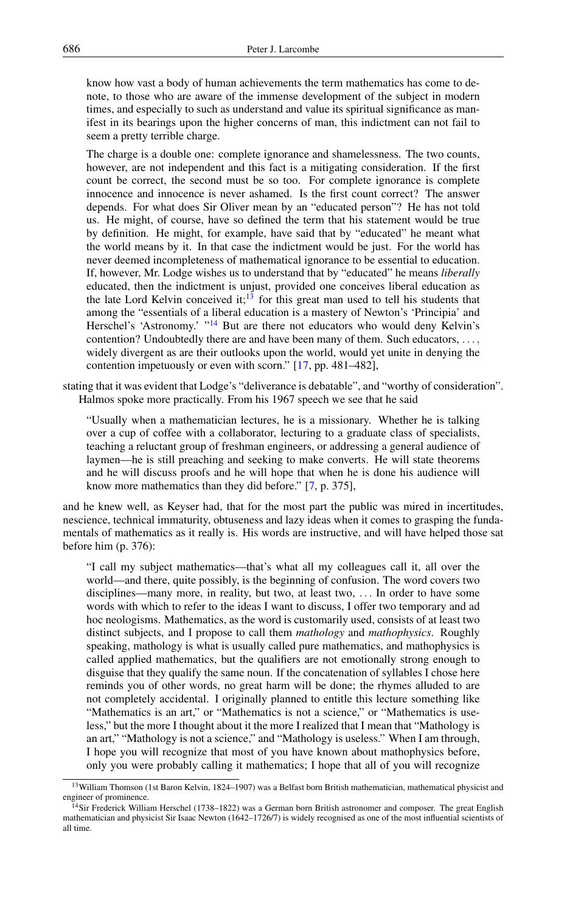know how vast a body of human achievements the term mathematics has come to denote, to those who are aware of the immense development of the subject in modern times, and especially to such as understand and value its spiritual significance as manifest in its bearings upon the higher concerns of man, this indictment can not fail to seem a pretty terrible charge.

The charge is a double one: complete ignorance and shamelessness. The two counts, however, are not independent and this fact is a mitigating consideration. If the first count be correct, the second must be so too. For complete ignorance is complete innocence and innocence is never ashamed. Is the first count correct? The answer depends. For what does Sir Oliver mean by an "educated person"? He has not told us. He might, of course, have so defined the term that his statement would be true by definition. He might, for example, have said that by "educated" he meant what the world means by it. In that case the indictment would be just. For the world has never deemed incompleteness of mathematical ignorance to be essential to education. If, however, Mr. Lodge wishes us to understand that by "educated" he means *liberally* educated, then the indictment is unjust, provided one conceives liberal education as the late Lord Kelvin conceived it;<sup>[13](#page-22-0)</sup> for this great man used to tell his students that among the "essentials of a liberal education is a mastery of Newton's 'Principia' and Herschel's 'Astronomy.' "<sup>[14](#page-22-1)</sup> But are there not educators who would deny Kelvin's contention? Undoubtedly there are and have been many of them. Such educators, . . . , widely divergent as are their outlooks upon the world, would yet unite in denying the contention impetuously or even with scorn." [\[17,](#page-34-17) pp. 481–482],

stating that it was evident that Lodge's "deliverance is debatable", and "worthy of consideration". Halmos spoke more practically. From his 1967 speech we see that he said

"Usually when a mathematician lectures, he is a missionary. Whether he is talking over a cup of coffee with a collaborator, lecturing to a graduate class of specialists, teaching a reluctant group of freshman engineers, or addressing a general audience of laymen—he is still preaching and seeking to make converts. He will state theorems and he will discuss proofs and he will hope that when he is done his audience will know more mathematics than they did before." [\[7,](#page-34-3) p. 375],

and he knew well, as Keyser had, that for the most part the public was mired in incertitudes, nescience, technical immaturity, obtuseness and lazy ideas when it comes to grasping the fundamentals of mathematics as it really is. His words are instructive, and will have helped those sat before him (p. 376):

"I call my subject mathematics—that's what all my colleagues call it, all over the world—and there, quite possibly, is the beginning of confusion. The word covers two disciplines—many more, in reality, but two, at least two, . . . In order to have some words with which to refer to the ideas I want to discuss, I offer two temporary and ad hoc neologisms. Mathematics, as the word is customarily used, consists of at least two distinct subjects, and I propose to call them *mathology* and *mathophysics*. Roughly speaking, mathology is what is usually called pure mathematics, and mathophysics is called applied mathematics, but the qualifiers are not emotionally strong enough to disguise that they qualify the same noun. If the concatenation of syllables I chose here reminds you of other words, no great harm will be done; the rhymes alluded to are not completely accidental. I originally planned to entitle this lecture something like "Mathematics is an art," or "Mathematics is not a science," or "Mathematics is useless," but the more I thought about it the more I realized that I mean that "Mathology is an art," "Mathology is not a science," and "Mathology is useless." When I am through, I hope you will recognize that most of you have known about mathophysics before, only you were probably calling it mathematics; I hope that all of you will recognize

<span id="page-22-0"></span><sup>13</sup>William Thomson (1st Baron Kelvin, 1824–1907) was a Belfast born British mathematician, mathematical physicist and engineer of prominence.

<span id="page-22-1"></span><sup>&</sup>lt;sup>14</sup>Sir Frederick William Herschel (1738–1822) was a German born British astronomer and composer. The great English mathematician and physicist Sir Isaac Newton (1642–1726/7) is widely recognised as one of the most influential scientists of all time.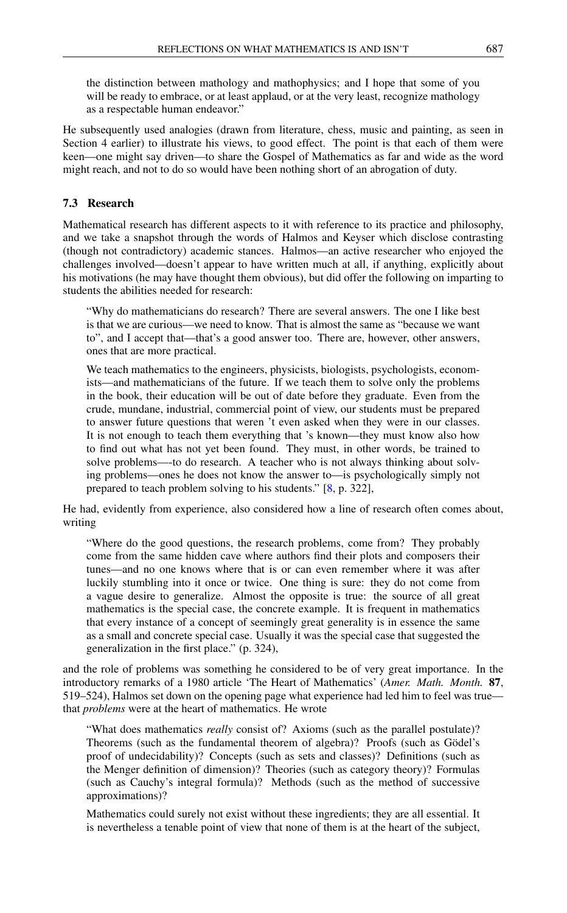the distinction between mathology and mathophysics; and I hope that some of you will be ready to embrace, or at least applaud, or at the very least, recognize mathology as a respectable human endeavor."

He subsequently used analogies (drawn from literature, chess, music and painting, as seen in Section 4 earlier) to illustrate his views, to good effect. The point is that each of them were keen—one might say driven—to share the Gospel of Mathematics as far and wide as the word might reach, and not to do so would have been nothing short of an abrogation of duty.

# 7.3 Research

Mathematical research has different aspects to it with reference to its practice and philosophy, and we take a snapshot through the words of Halmos and Keyser which disclose contrasting (though not contradictory) academic stances. Halmos—an active researcher who enjoyed the challenges involved—doesn't appear to have written much at all, if anything, explicitly about his motivations (he may have thought them obvious), but did offer the following on imparting to students the abilities needed for research:

"Why do mathematicians do research? There are several answers. The one I like best is that we are curious—we need to know. That is almost the same as "because we want to", and I accept that—that's a good answer too. There are, however, other answers, ones that are more practical.

We teach mathematics to the engineers, physicists, biologists, psychologists, economists—and mathematicians of the future. If we teach them to solve only the problems in the book, their education will be out of date before they graduate. Even from the crude, mundane, industrial, commercial point of view, our students must be prepared to answer future questions that weren 't even asked when they were in our classes. It is not enough to teach them everything that 's known—they must know also how to find out what has not yet been found. They must, in other words, be trained to solve problems—-to do research. A teacher who is not always thinking about solving problems—ones he does not know the answer to—is psychologically simply not prepared to teach problem solving to his students." [\[8,](#page-34-16) p. 322],

He had, evidently from experience, also considered how a line of research often comes about, writing

"Where do the good questions, the research problems, come from? They probably come from the same hidden cave where authors find their plots and composers their tunes—and no one knows where that is or can even remember where it was after luckily stumbling into it once or twice. One thing is sure: they do not come from a vague desire to generalize. Almost the opposite is true: the source of all great mathematics is the special case, the concrete example. It is frequent in mathematics that every instance of a concept of seemingly great generality is in essence the same as a small and concrete special case. Usually it was the special case that suggested the generalization in the first place." (p. 324),

and the role of problems was something he considered to be of very great importance. In the introductory remarks of a 1980 article 'The Heart of Mathematics' (*Amer. Math. Month.* 87, 519–524), Halmos set down on the opening page what experience had led him to feel was true that *problems* were at the heart of mathematics. He wrote

"What does mathematics *really* consist of? Axioms (such as the parallel postulate)? Theorems (such as the fundamental theorem of algebra)? Proofs (such as Gödel's proof of undecidability)? Concepts (such as sets and classes)? Definitions (such as the Menger definition of dimension)? Theories (such as category theory)? Formulas (such as Cauchy's integral formula)? Methods (such as the method of successive approximations)?

Mathematics could surely not exist without these ingredients; they are all essential. It is nevertheless a tenable point of view that none of them is at the heart of the subject,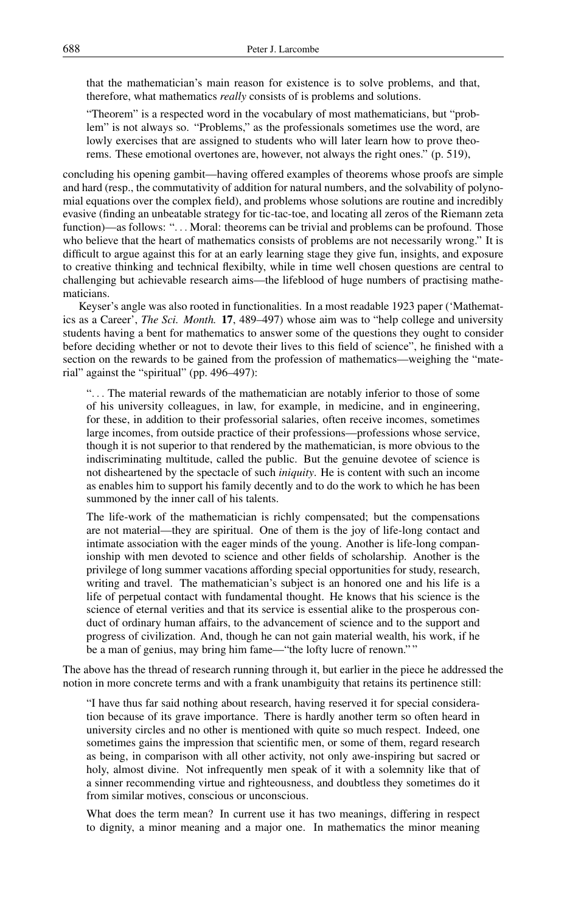that the mathematician's main reason for existence is to solve problems, and that, therefore, what mathematics *really* consists of is problems and solutions.

"Theorem" is a respected word in the vocabulary of most mathematicians, but "problem" is not always so. "Problems," as the professionals sometimes use the word, are lowly exercises that are assigned to students who will later learn how to prove theorems. These emotional overtones are, however, not always the right ones." (p. 519),

concluding his opening gambit—having offered examples of theorems whose proofs are simple and hard (resp., the commutativity of addition for natural numbers, and the solvability of polynomial equations over the complex field), and problems whose solutions are routine and incredibly evasive (finding an unbeatable strategy for tic-tac-toe, and locating all zeros of the Riemann zeta function)—as follows: "... Moral: theorems can be trivial and problems can be profound. Those who believe that the heart of mathematics consists of problems are not necessarily wrong." It is difficult to argue against this for at an early learning stage they give fun, insights, and exposure to creative thinking and technical flexibilty, while in time well chosen questions are central to challenging but achievable research aims—the lifeblood of huge numbers of practising mathematicians.

Keyser's angle was also rooted in functionalities. In a most readable 1923 paper ('Mathematics as a Career', *The Sci. Month.* 17, 489–497) whose aim was to "help college and university students having a bent for mathematics to answer some of the questions they ought to consider before deciding whether or not to devote their lives to this field of science", he finished with a section on the rewards to be gained from the profession of mathematics—weighing the "material" against the "spiritual" (pp. 496–497):

". . . The material rewards of the mathematician are notably inferior to those of some of his university colleagues, in law, for example, in medicine, and in engineering, for these, in addition to their professorial salaries, often receive incomes, sometimes large incomes, from outside practice of their professions—professions whose service, though it is not superior to that rendered by the mathematician, is more obvious to the indiscriminating multitude, called the public. But the genuine devotee of science is not disheartened by the spectacle of such *iniquity*. He is content with such an income as enables him to support his family decently and to do the work to which he has been summoned by the inner call of his talents.

The life-work of the mathematician is richly compensated; but the compensations are not material—they are spiritual. One of them is the joy of life-long contact and intimate association with the eager minds of the young. Another is life-long companionship with men devoted to science and other fields of scholarship. Another is the privilege of long summer vacations affording special opportunities for study, research, writing and travel. The mathematician's subject is an honored one and his life is a life of perpetual contact with fundamental thought. He knows that his science is the science of eternal verities and that its service is essential alike to the prosperous conduct of ordinary human affairs, to the advancement of science and to the support and progress of civilization. And, though he can not gain material wealth, his work, if he be a man of genius, may bring him fame—"the lofty lucre of renown." "

The above has the thread of research running through it, but earlier in the piece he addressed the notion in more concrete terms and with a frank unambiguity that retains its pertinence still:

"I have thus far said nothing about research, having reserved it for special consideration because of its grave importance. There is hardly another term so often heard in university circles and no other is mentioned with quite so much respect. Indeed, one sometimes gains the impression that scientific men, or some of them, regard research as being, in comparison with all other activity, not only awe-inspiring but sacred or holy, almost divine. Not infrequently men speak of it with a solemnity like that of a sinner recommending virtue and righteousness, and doubtless they sometimes do it from similar motives, conscious or unconscious.

What does the term mean? In current use it has two meanings, differing in respect to dignity, a minor meaning and a major one. In mathematics the minor meaning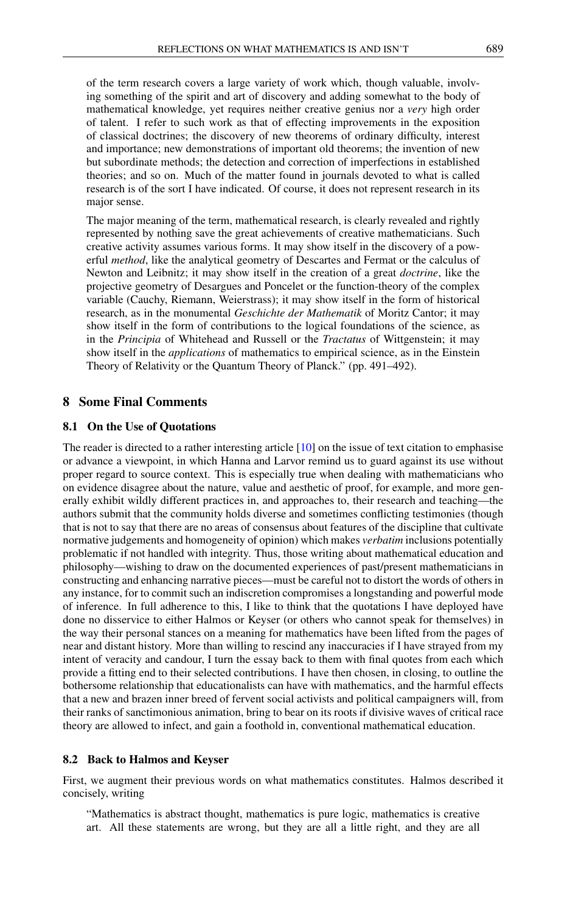of the term research covers a large variety of work which, though valuable, involving something of the spirit and art of discovery and adding somewhat to the body of mathematical knowledge, yet requires neither creative genius nor a *very* high order of talent. I refer to such work as that of effecting improvements in the exposition of classical doctrines; the discovery of new theorems of ordinary difficulty, interest and importance; new demonstrations of important old theorems; the invention of new but subordinate methods; the detection and correction of imperfections in established theories; and so on. Much of the matter found in journals devoted to what is called research is of the sort I have indicated. Of course, it does not represent research in its major sense.

The major meaning of the term, mathematical research, is clearly revealed and rightly represented by nothing save the great achievements of creative mathematicians. Such creative activity assumes various forms. It may show itself in the discovery of a powerful *method*, like the analytical geometry of Descartes and Fermat or the calculus of Newton and Leibnitz; it may show itself in the creation of a great *doctrine*, like the projective geometry of Desargues and Poncelet or the function-theory of the complex variable (Cauchy, Riemann, Weierstrass); it may show itself in the form of historical research, as in the monumental *Geschichte der Mathematik* of Moritz Cantor; it may show itself in the form of contributions to the logical foundations of the science, as in the *Principia* of Whitehead and Russell or the *Tractatus* of Wittgenstein; it may show itself in the *applications* of mathematics to empirical science, as in the Einstein Theory of Relativity or the Quantum Theory of Planck." (pp. 491–492).

## 8 Some Final Comments

#### 8.1 On the Use of Quotations

The reader is directed to a rather interesting article [\[10\]](#page-34-18) on the issue of text citation to emphasise or advance a viewpoint, in which Hanna and Larvor remind us to guard against its use without proper regard to source context. This is especially true when dealing with mathematicians who on evidence disagree about the nature, value and aesthetic of proof, for example, and more generally exhibit wildly different practices in, and approaches to, their research and teaching—the authors submit that the community holds diverse and sometimes conflicting testimonies (though that is not to say that there are no areas of consensus about features of the discipline that cultivate normative judgements and homogeneity of opinion) which makes *verbatim* inclusions potentially problematic if not handled with integrity. Thus, those writing about mathematical education and philosophy—wishing to draw on the documented experiences of past/present mathematicians in constructing and enhancing narrative pieces—must be careful not to distort the words of others in any instance, for to commit such an indiscretion compromises a longstanding and powerful mode of inference. In full adherence to this, I like to think that the quotations I have deployed have done no disservice to either Halmos or Keyser (or others who cannot speak for themselves) in the way their personal stances on a meaning for mathematics have been lifted from the pages of near and distant history. More than willing to rescind any inaccuracies if I have strayed from my intent of veracity and candour, I turn the essay back to them with final quotes from each which provide a fitting end to their selected contributions. I have then chosen, in closing, to outline the bothersome relationship that educationalists can have with mathematics, and the harmful effects that a new and brazen inner breed of fervent social activists and political campaigners will, from their ranks of sanctimonious animation, bring to bear on its roots if divisive waves of critical race theory are allowed to infect, and gain a foothold in, conventional mathematical education.

#### 8.2 Back to Halmos and Keyser

First, we augment their previous words on what mathematics constitutes. Halmos described it concisely, writing

"Mathematics is abstract thought, mathematics is pure logic, mathematics is creative art. All these statements are wrong, but they are all a little right, and they are all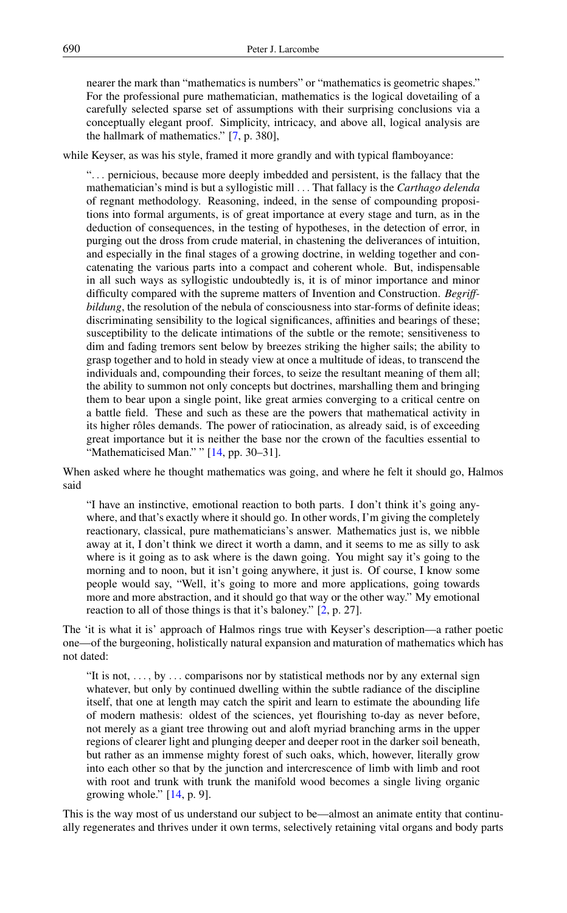nearer the mark than "mathematics is numbers" or "mathematics is geometric shapes." For the professional pure mathematician, mathematics is the logical dovetailing of a carefully selected sparse set of assumptions with their surprising conclusions via a conceptually elegant proof. Simplicity, intricacy, and above all, logical analysis are the hallmark of mathematics." [\[7,](#page-34-3) p. 380],

while Keyser, as was his style, framed it more grandly and with typical flamboyance:

". . . pernicious, because more deeply imbedded and persistent, is the fallacy that the mathematician's mind is but a syllogistic mill . . . That fallacy is the *Carthago delenda* of regnant methodology. Reasoning, indeed, in the sense of compounding propositions into formal arguments, is of great importance at every stage and turn, as in the deduction of consequences, in the testing of hypotheses, in the detection of error, in purging out the dross from crude material, in chastening the deliverances of intuition, and especially in the final stages of a growing doctrine, in welding together and concatenating the various parts into a compact and coherent whole. But, indispensable in all such ways as syllogistic undoubtedly is, it is of minor importance and minor difficulty compared with the supreme matters of Invention and Construction. *Begriffbildung*, the resolution of the nebula of consciousness into star-forms of definite ideas; discriminating sensibility to the logical significances, affinities and bearings of these; susceptibility to the delicate intimations of the subtle or the remote; sensitiveness to dim and fading tremors sent below by breezes striking the higher sails; the ability to grasp together and to hold in steady view at once a multitude of ideas, to transcend the individuals and, compounding their forces, to seize the resultant meaning of them all; the ability to summon not only concepts but doctrines, marshalling them and bringing them to bear upon a single point, like great armies converging to a critical centre on a battle field. These and such as these are the powers that mathematical activity in its higher rôles demands. The power of ratiocination, as already said, is of exceeding great importance but it is neither the base nor the crown of the faculties essential to "Mathematicised Man." " [\[14,](#page-34-4) pp. 30–31].

When asked where he thought mathematics was going, and where he felt it should go, Halmos said

"I have an instinctive, emotional reaction to both parts. I don't think it's going anywhere, and that's exactly where it should go. In other words, I'm giving the completely reactionary, classical, pure mathematicians's answer. Mathematics just is, we nibble away at it, I don't think we direct it worth a damn, and it seems to me as silly to ask where is it going as to ask where is the dawn going. You might say it's going to the morning and to noon, but it isn't going anywhere, it just is. Of course, I know some people would say, "Well, it's going to more and more applications, going towards more and more abstraction, and it should go that way or the other way." My emotional reaction to all of those things is that it's baloney." [\[2,](#page-34-1) p. 27].

The 'it is what it is' approach of Halmos rings true with Keyser's description—a rather poetic one—of the burgeoning, holistically natural expansion and maturation of mathematics which has not dated:

"It is not,  $\dots$ , by  $\dots$  comparisons nor by statistical methods nor by any external sign whatever, but only by continued dwelling within the subtle radiance of the discipline itself, that one at length may catch the spirit and learn to estimate the abounding life of modern mathesis: oldest of the sciences, yet flourishing to-day as never before, not merely as a giant tree throwing out and aloft myriad branching arms in the upper regions of clearer light and plunging deeper and deeper root in the darker soil beneath, but rather as an immense mighty forest of such oaks, which, however, literally grow into each other so that by the junction and intercrescence of limb with limb and root with root and trunk with trunk the manifold wood becomes a single living organic growing whole."  $[14, p. 9]$  $[14, p. 9]$ .

This is the way most of us understand our subject to be—almost an animate entity that continually regenerates and thrives under it own terms, selectively retaining vital organs and body parts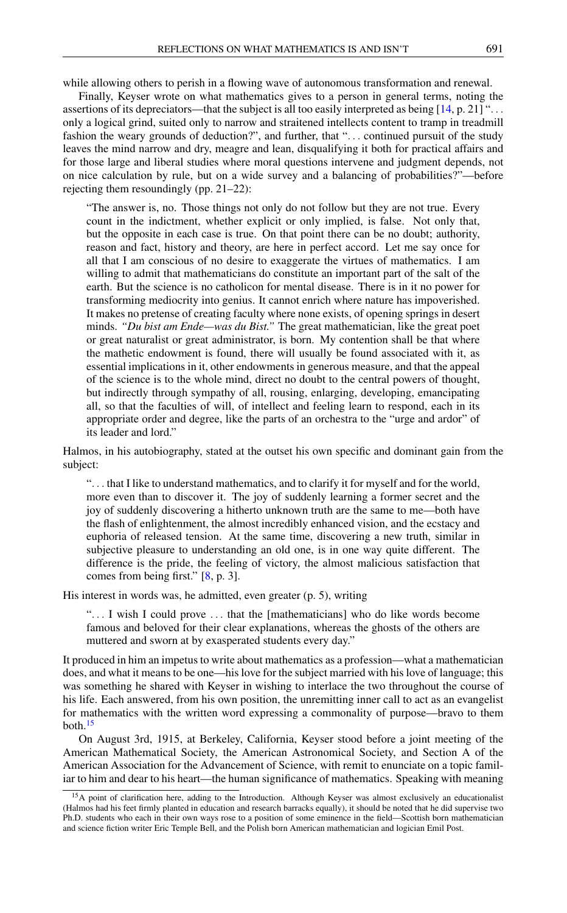while allowing others to perish in a flowing wave of autonomous transformation and renewal.

Finally, Keyser wrote on what mathematics gives to a person in general terms, noting the assertions of its depreciators—that the subject is all too easily interpreted as being  $[14, p. 21]$  $[14, p. 21]$  "... only a logical grind, suited only to narrow and straitened intellects content to tramp in treadmill fashion the weary grounds of deduction?", and further, that "... continued pursuit of the study leaves the mind narrow and dry, meagre and lean, disqualifying it both for practical affairs and for those large and liberal studies where moral questions intervene and judgment depends, not on nice calculation by rule, but on a wide survey and a balancing of probabilities?"—before rejecting them resoundingly (pp. 21–22):

"The answer is, no. Those things not only do not follow but they are not true. Every count in the indictment, whether explicit or only implied, is false. Not only that, but the opposite in each case is true. On that point there can be no doubt; authority, reason and fact, history and theory, are here in perfect accord. Let me say once for all that I am conscious of no desire to exaggerate the virtues of mathematics. I am willing to admit that mathematicians do constitute an important part of the salt of the earth. But the science is no catholicon for mental disease. There is in it no power for transforming mediocrity into genius. It cannot enrich where nature has impoverished. It makes no pretense of creating faculty where none exists, of opening springs in desert minds. *"Du bist am Ende—was du Bist."* The great mathematician, like the great poet or great naturalist or great administrator, is born. My contention shall be that where the mathetic endowment is found, there will usually be found associated with it, as essential implications in it, other endowments in generous measure, and that the appeal of the science is to the whole mind, direct no doubt to the central powers of thought, but indirectly through sympathy of all, rousing, enlarging, developing, emancipating all, so that the faculties of will, of intellect and feeling learn to respond, each in its appropriate order and degree, like the parts of an orchestra to the "urge and ardor" of its leader and lord."

Halmos, in his autobiography, stated at the outset his own specific and dominant gain from the subject:

"... that I like to understand mathematics, and to clarify it for myself and for the world, more even than to discover it. The joy of suddenly learning a former secret and the joy of suddenly discovering a hitherto unknown truth are the same to me—both have the flash of enlightenment, the almost incredibly enhanced vision, and the ecstacy and euphoria of released tension. At the same time, discovering a new truth, similar in subjective pleasure to understanding an old one, is in one way quite different. The difference is the pride, the feeling of victory, the almost malicious satisfaction that comes from being first." [\[8,](#page-34-16) p. 3].

His interest in words was, he admitted, even greater (p. 5), writing

". . . I wish I could prove . . . that the [mathematicians] who do like words become famous and beloved for their clear explanations, whereas the ghosts of the others are muttered and sworn at by exasperated students every day."

It produced in him an impetus to write about mathematics as a profession—what a mathematician does, and what it means to be one—his love for the subject married with his love of language; this was something he shared with Keyser in wishing to interlace the two throughout the course of his life. Each answered, from his own position, the unremitting inner call to act as an evangelist for mathematics with the written word expressing a commonality of purpose—bravo to them both. $15$ 

On August 3rd, 1915, at Berkeley, California, Keyser stood before a joint meeting of the American Mathematical Society, the American Astronomical Society, and Section A of the American Association for the Advancement of Science, with remit to enunciate on a topic familiar to him and dear to his heart—the human significance of mathematics. Speaking with meaning

<span id="page-27-0"></span> $15A$  point of clarification here, adding to the Introduction. Although Keyser was almost exclusively an educationalist (Halmos had his feet firmly planted in education and research barracks equally), it should be noted that he did supervise two Ph.D. students who each in their own ways rose to a position of some eminence in the field—Scottish born mathematician and science fiction writer Eric Temple Bell, and the Polish born American mathematician and logician Emil Post.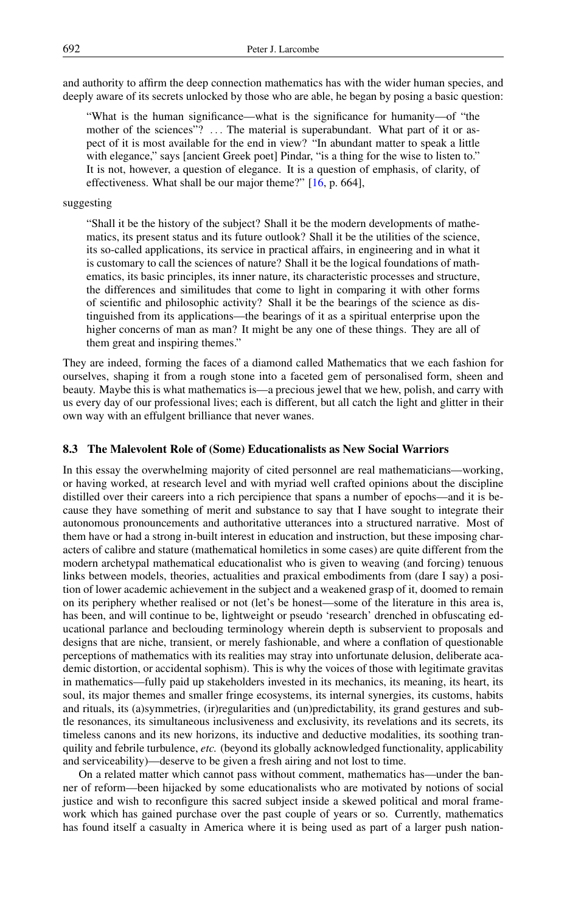and authority to affirm the deep connection mathematics has with the wider human species, and deeply aware of its secrets unlocked by those who are able, he began by posing a basic question:

"What is the human significance—what is the significance for humanity—of "the mother of the sciences"? ... The material is superabundant. What part of it or aspect of it is most available for the end in view? "In abundant matter to speak a little with elegance," says [ancient Greek poet] Pindar, "is a thing for the wise to listen to." It is not, however, a question of elegance. It is a question of emphasis, of clarity, of effectiveness. What shall be our major theme?" [\[16,](#page-34-19) p. 664],

#### suggesting

"Shall it be the history of the subject? Shall it be the modern developments of mathematics, its present status and its future outlook? Shall it be the utilities of the science, its so-called applications, its service in practical affairs, in engineering and in what it is customary to call the sciences of nature? Shall it be the logical foundations of mathematics, its basic principles, its inner nature, its characteristic processes and structure, the differences and similitudes that come to light in comparing it with other forms of scientific and philosophic activity? Shall it be the bearings of the science as distinguished from its applications—the bearings of it as a spiritual enterprise upon the higher concerns of man as man? It might be any one of these things. They are all of them great and inspiring themes."

They are indeed, forming the faces of a diamond called Mathematics that we each fashion for ourselves, shaping it from a rough stone into a faceted gem of personalised form, sheen and beauty. Maybe this is what mathematics is—a precious jewel that we hew, polish, and carry with us every day of our professional lives; each is different, but all catch the light and glitter in their own way with an effulgent brilliance that never wanes.

#### 8.3 The Malevolent Role of (Some) Educationalists as New Social Warriors

In this essay the overwhelming majority of cited personnel are real mathematicians—working, or having worked, at research level and with myriad well crafted opinions about the discipline distilled over their careers into a rich percipience that spans a number of epochs—and it is because they have something of merit and substance to say that I have sought to integrate their autonomous pronouncements and authoritative utterances into a structured narrative. Most of them have or had a strong in-built interest in education and instruction, but these imposing characters of calibre and stature (mathematical homiletics in some cases) are quite different from the modern archetypal mathematical educationalist who is given to weaving (and forcing) tenuous links between models, theories, actualities and praxical embodiments from (dare I say) a position of lower academic achievement in the subject and a weakened grasp of it, doomed to remain on its periphery whether realised or not (let's be honest—some of the literature in this area is, has been, and will continue to be, lightweight or pseudo 'research' drenched in obfuscating educational parlance and beclouding terminology wherein depth is subservient to proposals and designs that are niche, transient, or merely fashionable, and where a conflation of questionable perceptions of mathematics with its realities may stray into unfortunate delusion, deliberate academic distortion, or accidental sophism). This is why the voices of those with legitimate gravitas in mathematics—fully paid up stakeholders invested in its mechanics, its meaning, its heart, its soul, its major themes and smaller fringe ecosystems, its internal synergies, its customs, habits and rituals, its (a)symmetries, (ir)regularities and (un)predictability, its grand gestures and subtle resonances, its simultaneous inclusiveness and exclusivity, its revelations and its secrets, its timeless canons and its new horizons, its inductive and deductive modalities, its soothing tranquility and febrile turbulence, *etc.* (beyond its globally acknowledged functionality, applicability and serviceability)—deserve to be given a fresh airing and not lost to time.

On a related matter which cannot pass without comment, mathematics has—under the banner of reform—been hijacked by some educationalists who are motivated by notions of social justice and wish to reconfigure this sacred subject inside a skewed political and moral framework which has gained purchase over the past couple of years or so. Currently, mathematics has found itself a casualty in America where it is being used as part of a larger push nation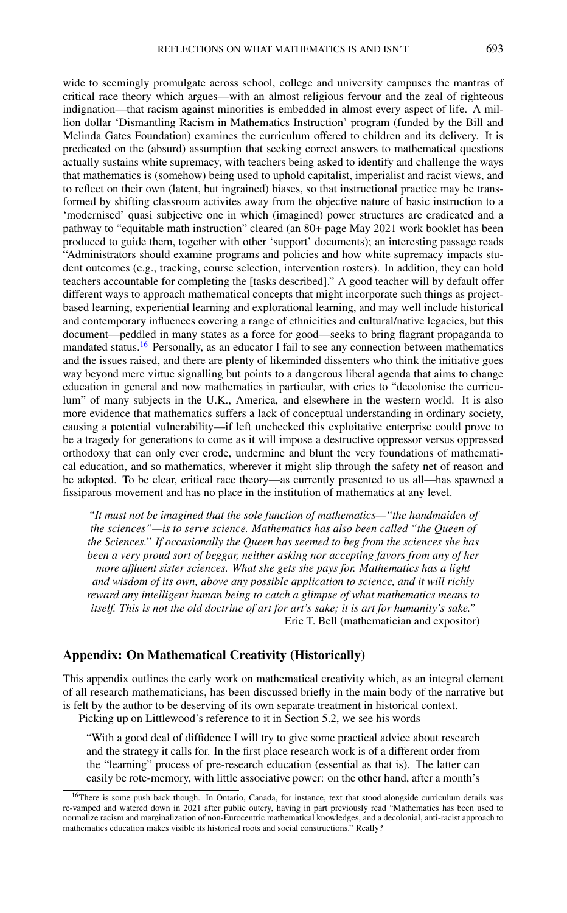wide to seemingly promulgate across school, college and university campuses the mantras of critical race theory which argues—with an almost religious fervour and the zeal of righteous indignation—that racism against minorities is embedded in almost every aspect of life. A million dollar 'Dismantling Racism in Mathematics Instruction' program (funded by the Bill and Melinda Gates Foundation) examines the curriculum offered to children and its delivery. It is predicated on the (absurd) assumption that seeking correct answers to mathematical questions actually sustains white supremacy, with teachers being asked to identify and challenge the ways that mathematics is (somehow) being used to uphold capitalist, imperialist and racist views, and to reflect on their own (latent, but ingrained) biases, so that instructional practice may be transformed by shifting classroom activites away from the objective nature of basic instruction to a 'modernised' quasi subjective one in which (imagined) power structures are eradicated and a pathway to "equitable math instruction" cleared (an 80+ page May 2021 work booklet has been produced to guide them, together with other 'support' documents); an interesting passage reads "Administrators should examine programs and policies and how white supremacy impacts student outcomes (e.g., tracking, course selection, intervention rosters). In addition, they can hold teachers accountable for completing the [tasks described]." A good teacher will by default offer different ways to approach mathematical concepts that might incorporate such things as projectbased learning, experiential learning and explorational learning, and may well include historical and contemporary influences covering a range of ethnicities and cultural/native legacies, but this document—peddled in many states as a force for good—seeks to bring flagrant propaganda to mandated status.<sup>[16](#page-29-0)</sup> Personally, as an educator I fail to see any connection between mathematics and the issues raised, and there are plenty of likeminded dissenters who think the initiative goes way beyond mere virtue signalling but points to a dangerous liberal agenda that aims to change education in general and now mathematics in particular, with cries to "decolonise the curriculum" of many subjects in the U.K., America, and elsewhere in the western world. It is also more evidence that mathematics suffers a lack of conceptual understanding in ordinary society, causing a potential vulnerability—if left unchecked this exploitative enterprise could prove to be a tragedy for generations to come as it will impose a destructive oppressor versus oppressed orthodoxy that can only ever erode, undermine and blunt the very foundations of mathematical education, and so mathematics, wherever it might slip through the safety net of reason and be adopted. To be clear, critical race theory—as currently presented to us all—has spawned a fissiparous movement and has no place in the institution of mathematics at any level.

*"It must not be imagined that the sole function of mathematics—"the handmaiden of the sciences"—is to serve science. Mathematics has also been called "the Queen of the Sciences." If occasionally the Queen has seemed to beg from the sciences she has been a very proud sort of beggar, neither asking nor accepting favors from any of her more affluent sister sciences. What she gets she pays for. Mathematics has a light and wisdom of its own, above any possible application to science, and it will richly reward any intelligent human being to catch a glimpse of what mathematics means to itself. This is not the old doctrine of art for art's sake; it is art for humanity's sake."* Eric T. Bell (mathematician and expositor)

## Appendix: On Mathematical Creativity (Historically)

This appendix outlines the early work on mathematical creativity which, as an integral element of all research mathematicians, has been discussed briefly in the main body of the narrative but is felt by the author to be deserving of its own separate treatment in historical context.

Picking up on Littlewood's reference to it in Section 5.2, we see his words

"With a good deal of diffidence I will try to give some practical advice about research and the strategy it calls for. In the first place research work is of a different order from the "learning" process of pre-research education (essential as that is). The latter can easily be rote-memory, with little associative power: on the other hand, after a month's

<span id="page-29-0"></span><sup>&</sup>lt;sup>16</sup>There is some push back though. In Ontario, Canada, for instance, text that stood alongside curriculum details was re-vamped and watered down in 2021 after public outcry, having in part previously read "Mathematics has been used to normalize racism and marginalization of non-Eurocentric mathematical knowledges, and a decolonial, anti-racist approach to mathematics education makes visible its historical roots and social constructions." Really?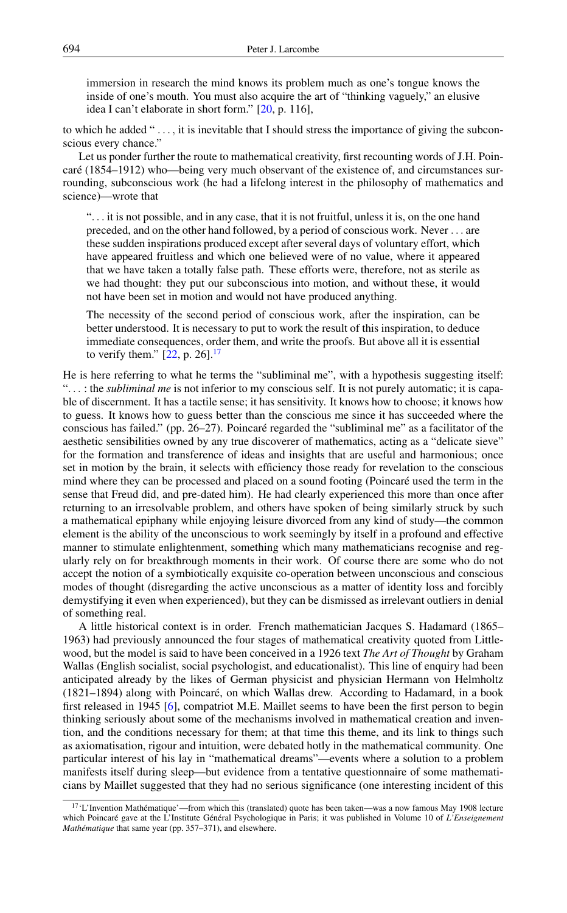immersion in research the mind knows its problem much as one's tongue knows the inside of one's mouth. You must also acquire the art of "thinking vaguely," an elusive idea I can't elaborate in short form." [\[20,](#page-34-8) p. 116],

to which he added " . . . , it is inevitable that I should stress the importance of giving the subconscious every chance."

Let us ponder further the route to mathematical creativity, first recounting words of J.H. Poincaré (1854–1912) who—being very much observant of the existence of, and circumstances surrounding, subconscious work (he had a lifelong interest in the philosophy of mathematics and science)—wrote that

". . . it is not possible, and in any case, that it is not fruitful, unless it is, on the one hand preceded, and on the other hand followed, by a period of conscious work. Never . . . are these sudden inspirations produced except after several days of voluntary effort, which have appeared fruitless and which one believed were of no value, where it appeared that we have taken a totally false path. These efforts were, therefore, not as sterile as we had thought: they put our subconscious into motion, and without these, it would not have been set in motion and would not have produced anything.

The necessity of the second period of conscious work, after the inspiration, can be better understood. It is necessary to put to work the result of this inspiration, to deduce immediate consequences, order them, and write the proofs. But above all it is essential to verify them."  $[22, p. 26]$  $[22, p. 26]$ .<sup>[17](#page-30-0)</sup>

He is here referring to what he terms the "subliminal me", with a hypothesis suggesting itself: ". . . : the *subliminal me* is not inferior to my conscious self. It is not purely automatic; it is capable of discernment. It has a tactile sense; it has sensitivity. It knows how to choose; it knows how to guess. It knows how to guess better than the conscious me since it has succeeded where the conscious has failed." (pp. 26–27). Poincaré regarded the "subliminal me" as a facilitator of the aesthetic sensibilities owned by any true discoverer of mathematics, acting as a "delicate sieve" for the formation and transference of ideas and insights that are useful and harmonious; once set in motion by the brain, it selects with efficiency those ready for revelation to the conscious mind where they can be processed and placed on a sound footing (Poincaré used the term in the sense that Freud did, and pre-dated him). He had clearly experienced this more than once after returning to an irresolvable problem, and others have spoken of being similarly struck by such a mathematical epiphany while enjoying leisure divorced from any kind of study—the common element is the ability of the unconscious to work seemingly by itself in a profound and effective manner to stimulate enlightenment, something which many mathematicians recognise and regularly rely on for breakthrough moments in their work. Of course there are some who do not accept the notion of a symbiotically exquisite co-operation between unconscious and conscious modes of thought (disregarding the active unconscious as a matter of identity loss and forcibly demystifying it even when experienced), but they can be dismissed as irrelevant outliers in denial of something real.

A little historical context is in order. French mathematician Jacques S. Hadamard (1865– 1963) had previously announced the four stages of mathematical creativity quoted from Littlewood, but the model is said to have been conceived in a 1926 text *The Art of Thought* by Graham Wallas (English socialist, social psychologist, and educationalist). This line of enquiry had been anticipated already by the likes of German physicist and physician Hermann von Helmholtz (1821–1894) along with Poincaré, on which Wallas drew. According to Hadamard, in a book first released in 1945 [\[6\]](#page-34-20), compatriot M.E. Maillet seems to have been the first person to begin thinking seriously about some of the mechanisms involved in mathematical creation and invention, and the conditions necessary for them; at that time this theme, and its link to things such as axiomatisation, rigour and intuition, were debated hotly in the mathematical community. One particular interest of his lay in "mathematical dreams"—events where a solution to a problem manifests itself during sleep—but evidence from a tentative questionnaire of some mathematicians by Maillet suggested that they had no serious significance (one interesting incident of this

<span id="page-30-0"></span><sup>&</sup>lt;sup>17</sup>'L'Invention Mathématique'—from which this (translated) quote has been taken—was a now famous May 1908 lecture which Poincaré gave at the L'Institute Général Psychologique in Paris; it was published in Volume 10 of *L'Enseignement Mathématique* that same year (pp. 357–371), and elsewhere.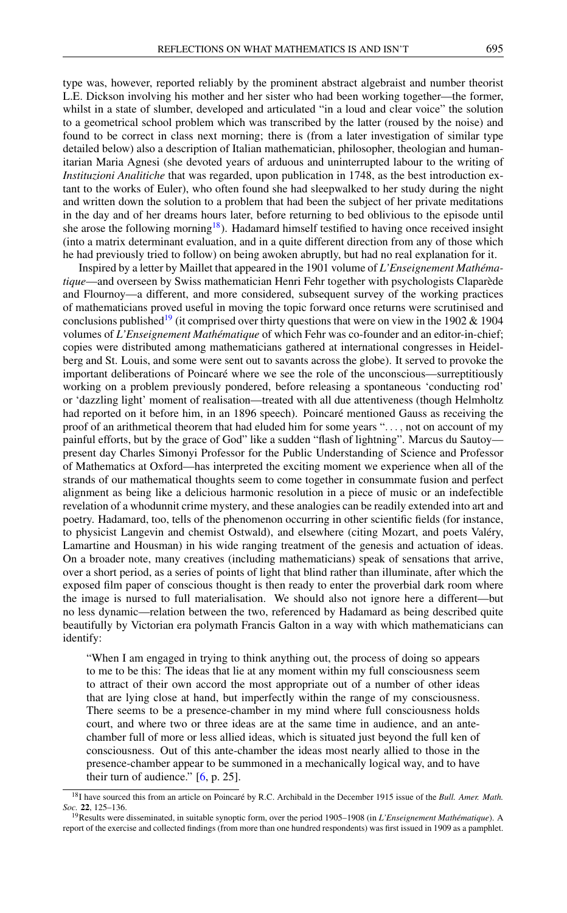type was, however, reported reliably by the prominent abstract algebraist and number theorist L.E. Dickson involving his mother and her sister who had been working together—the former, whilst in a state of slumber, developed and articulated "in a loud and clear voice" the solution to a geometrical school problem which was transcribed by the latter (roused by the noise) and found to be correct in class next morning; there is (from a later investigation of similar type detailed below) also a description of Italian mathematician, philosopher, theologian and humanitarian Maria Agnesi (she devoted years of arduous and uninterrupted labour to the writing of *Instituzioni Analitiche* that was regarded, upon publication in 1748, as the best introduction extant to the works of Euler), who often found she had sleepwalked to her study during the night and written down the solution to a problem that had been the subject of her private meditations in the day and of her dreams hours later, before returning to bed oblivious to the episode until she arose the following morning<sup>[18](#page-31-0)</sup>). Hadamard himself testified to having once received insight (into a matrix determinant evaluation, and in a quite different direction from any of those which he had previously tried to follow) on being awoken abruptly, but had no real explanation for it.

Inspired by a letter by Maillet that appeared in the 1901 volume of *L'Enseignement Mathématique*—and overseen by Swiss mathematician Henri Fehr together with psychologists Claparède and Flournoy—a different, and more considered, subsequent survey of the working practices of mathematicians proved useful in moving the topic forward once returns were scrutinised and conclusions published<sup>[19](#page-31-1)</sup> (it comprised over thirty questions that were on view in the 1902  $\&$  1904 volumes of *L'Enseignement Mathématique* of which Fehr was co-founder and an editor-in-chief; copies were distributed among mathematicians gathered at international congresses in Heidelberg and St. Louis, and some were sent out to savants across the globe). It served to provoke the important deliberations of Poincaré where we see the role of the unconscious—surreptitiously working on a problem previously pondered, before releasing a spontaneous 'conducting rod' or 'dazzling light' moment of realisation—treated with all due attentiveness (though Helmholtz had reported on it before him, in an 1896 speech). Poincaré mentioned Gauss as receiving the proof of an arithmetical theorem that had eluded him for some years ". . . , not on account of my painful efforts, but by the grace of God" like a sudden "flash of lightning". Marcus du Sautoy present day Charles Simonyi Professor for the Public Understanding of Science and Professor of Mathematics at Oxford—has interpreted the exciting moment we experience when all of the strands of our mathematical thoughts seem to come together in consummate fusion and perfect alignment as being like a delicious harmonic resolution in a piece of music or an indefectible revelation of a whodunnit crime mystery, and these analogies can be readily extended into art and poetry. Hadamard, too, tells of the phenomenon occurring in other scientific fields (for instance, to physicist Langevin and chemist Ostwald), and elsewhere (citing Mozart, and poets Valéry, Lamartine and Housman) in his wide ranging treatment of the genesis and actuation of ideas. On a broader note, many creatives (including mathematicians) speak of sensations that arrive, over a short period, as a series of points of light that blind rather than illuminate, after which the exposed film paper of conscious thought is then ready to enter the proverbial dark room where the image is nursed to full materialisation. We should also not ignore here a different—but no less dynamic—relation between the two, referenced by Hadamard as being described quite beautifully by Victorian era polymath Francis Galton in a way with which mathematicians can identify:

"When I am engaged in trying to think anything out, the process of doing so appears to me to be this: The ideas that lie at any moment within my full consciousness seem to attract of their own accord the most appropriate out of a number of other ideas that are lying close at hand, but imperfectly within the range of my consciousness. There seems to be a presence-chamber in my mind where full consciousness holds court, and where two or three ideas are at the same time in audience, and an antechamber full of more or less allied ideas, which is situated just beyond the full ken of consciousness. Out of this ante-chamber the ideas most nearly allied to those in the presence-chamber appear to be summoned in a mechanically logical way, and to have their turn of audience."  $[6, p. 25]$  $[6, p. 25]$ .

<span id="page-31-0"></span><sup>18</sup>I have sourced this from an article on Poincaré by R.C. Archibald in the December 1915 issue of the *Bull. Amer. Math. Soc.* 22, 125–136.

<span id="page-31-1"></span><sup>19</sup>Results were disseminated, in suitable synoptic form, over the period 1905–1908 (in *L'Enseignement Mathématique*). A report of the exercise and collected findings (from more than one hundred respondents) was first issued in 1909 as a pamphlet.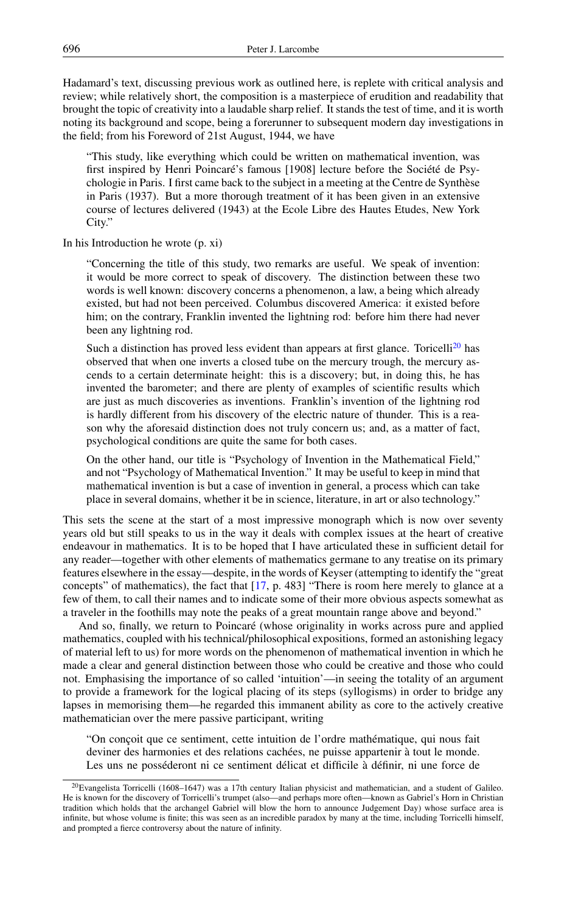Hadamard's text, discussing previous work as outlined here, is replete with critical analysis and review; while relatively short, the composition is a masterpiece of erudition and readability that brought the topic of creativity into a laudable sharp relief. It stands the test of time, and it is worth noting its background and scope, being a forerunner to subsequent modern day investigations in the field; from his Foreword of 21st August, 1944, we have

"This study, like everything which could be written on mathematical invention, was first inspired by Henri Poincaré's famous [1908] lecture before the Société de Psychologie in Paris. I first came back to the subject in a meeting at the Centre de Synthèse in Paris (1937). But a more thorough treatment of it has been given in an extensive course of lectures delivered (1943) at the Ecole Libre des Hautes Etudes, New York City."

In his Introduction he wrote (p. xi)

"Concerning the title of this study, two remarks are useful. We speak of invention: it would be more correct to speak of discovery. The distinction between these two words is well known: discovery concerns a phenomenon, a law, a being which already existed, but had not been perceived. Columbus discovered America: it existed before him; on the contrary, Franklin invented the lightning rod: before him there had never been any lightning rod.

Such a distinction has proved less evident than appears at first glance. Toricelli<sup>[20](#page-32-0)</sup> has observed that when one inverts a closed tube on the mercury trough, the mercury ascends to a certain determinate height: this is a discovery; but, in doing this, he has invented the barometer; and there are plenty of examples of scientific results which are just as much discoveries as inventions. Franklin's invention of the lightning rod is hardly different from his discovery of the electric nature of thunder. This is a reason why the aforesaid distinction does not truly concern us; and, as a matter of fact, psychological conditions are quite the same for both cases.

On the other hand, our title is "Psychology of Invention in the Mathematical Field," and not "Psychology of Mathematical Invention." It may be useful to keep in mind that mathematical invention is but a case of invention in general, a process which can take place in several domains, whether it be in science, literature, in art or also technology."

This sets the scene at the start of a most impressive monograph which is now over seventy years old but still speaks to us in the way it deals with complex issues at the heart of creative endeavour in mathematics. It is to be hoped that I have articulated these in sufficient detail for any reader—together with other elements of mathematics germane to any treatise on its primary features elsewhere in the essay—despite, in the words of Keyser (attempting to identify the "great concepts" of mathematics), the fact that [\[17,](#page-34-17) p. 483] "There is room here merely to glance at a few of them, to call their names and to indicate some of their more obvious aspects somewhat as a traveler in the foothills may note the peaks of a great mountain range above and beyond."

And so, finally, we return to Poincaré (whose originality in works across pure and applied mathematics, coupled with his technical/philosophical expositions, formed an astonishing legacy of material left to us) for more words on the phenomenon of mathematical invention in which he made a clear and general distinction between those who could be creative and those who could not. Emphasising the importance of so called 'intuition'—in seeing the totality of an argument to provide a framework for the logical placing of its steps (syllogisms) in order to bridge any lapses in memorising them—he regarded this immanent ability as core to the actively creative mathematician over the mere passive participant, writing

"On conçoit que ce sentiment, cette intuition de l'ordre mathématique, qui nous fait deviner des harmonies et des relations cachées, ne puisse appartenir à tout le monde. Les uns ne posséderont ni ce sentiment délicat et difficile à définir, ni une force de

<span id="page-32-0"></span> $^{20}$ Evangelista Torricelli (1608–1647) was a 17th century Italian physicist and mathematician, and a student of Galileo. He is known for the discovery of Torricelli's trumpet (also—and perhaps more often—known as Gabriel's Horn in Christian tradition which holds that the archangel Gabriel will blow the horn to announce Judgement Day) whose surface area is infinite, but whose volume is finite; this was seen as an incredible paradox by many at the time, including Torricelli himself, and prompted a fierce controversy about the nature of infinity.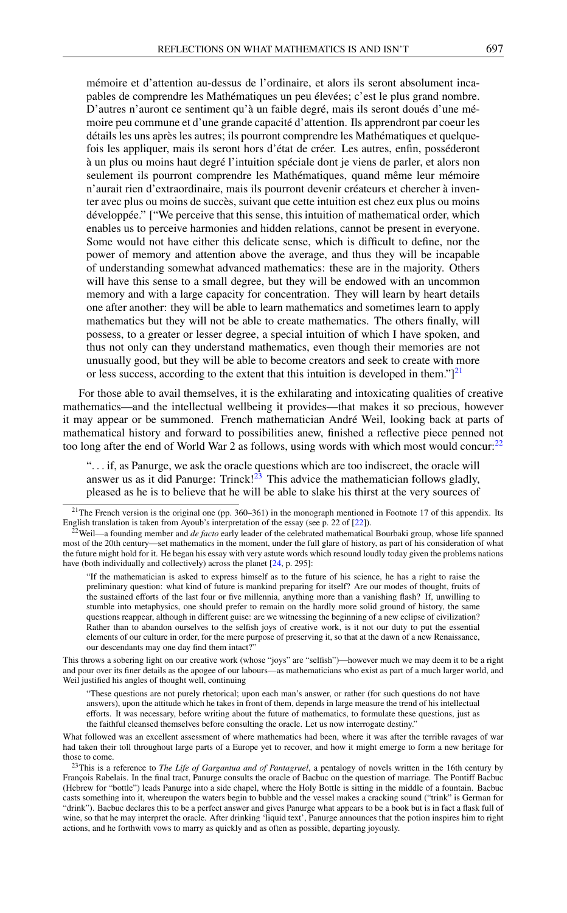mémoire et d'attention au-dessus de l'ordinaire, et alors ils seront absolument incapables de comprendre les Mathématiques un peu élevées; c'est le plus grand nombre. D'autres n'auront ce sentiment qu'à un faible degré, mais ils seront doués d'une mémoire peu commune et d'une grande capacité d'attention. Ils apprendront par coeur les détails les uns après les autres; ils pourront comprendre les Mathématiques et quelquefois les appliquer, mais ils seront hors d'état de créer. Les autres, enfin, posséderont à un plus ou moins haut degré l'intuition spéciale dont je viens de parler, et alors non seulement ils pourront comprendre les Mathématiques, quand même leur mémoire n'aurait rien d'extraordinaire, mais ils pourront devenir créateurs et chercher à inventer avec plus ou moins de succès, suivant que cette intuition est chez eux plus ou moins développée." ["We perceive that this sense, this intuition of mathematical order, which enables us to perceive harmonies and hidden relations, cannot be present in everyone. Some would not have either this delicate sense, which is difficult to define, nor the power of memory and attention above the average, and thus they will be incapable of understanding somewhat advanced mathematics: these are in the majority. Others will have this sense to a small degree, but they will be endowed with an uncommon memory and with a large capacity for concentration. They will learn by heart details one after another: they will be able to learn mathematics and sometimes learn to apply mathematics but they will not be able to create mathematics. The others finally, will possess, to a greater or lesser degree, a special intuition of which I have spoken, and thus not only can they understand mathematics, even though their memories are not unusually good, but they will be able to become creators and seek to create with more or less success, according to the extent that this intuition is developed in them." $]$ <sup>[21](#page-33-0)</sup>

For those able to avail themselves, it is the exhilarating and intoxicating qualities of creative mathematics—and the intellectual wellbeing it provides—that makes it so precious, however it may appear or be summoned. French mathematician André Weil, looking back at parts of mathematical history and forward to possibilities anew, finished a reflective piece penned not too long after the end of World War 2 as follows, using words with which most would concur: $^{22}$  $^{22}$  $^{22}$ 

". . . if, as Panurge, we ask the oracle questions which are too indiscreet, the oracle will answer us as it did Panurge: Trinck!<sup>[23](#page-33-2)</sup> This advice the mathematician follows gladly, pleased as he is to believe that he will be able to slake his thirst at the very sources of

This throws a sobering light on our creative work (whose "joys" are "selfish")—however much we may deem it to be a right and pour over its finer details as the apogee of our labours—as mathematicians who exist as part of a much larger world, and Weil justified his angles of thought well, continuing

"These questions are not purely rhetorical; upon each man's answer, or rather (for such questions do not have answers), upon the attitude which he takes in front of them, depends in large measure the trend of his intellectual efforts. It was necessary, before writing about the future of mathematics, to formulate these questions, just as the faithful cleansed themselves before consulting the oracle. Let us now interrogate destiny."

What followed was an excellent assessment of where mathematics had been, where it was after the terrible ravages of war had taken their toll throughout large parts of a Europe yet to recover, and how it might emerge to form a new heritage for those to come.

<span id="page-33-0"></span><sup>&</sup>lt;sup>21</sup>The French version is the original one (pp.  $360-361$ ) in the monograph mentioned in Footnote 17 of this appendix. Its English translation is taken from Ayoub's interpretation of the essay (see p. 22 of [\[22\]](#page-35-5)).

<span id="page-33-1"></span><sup>22</sup>Weil—a founding member and *de facto* early leader of the celebrated mathematical Bourbaki group, whose life spanned most of the 20th century—set mathematics in the moment, under the full glare of history, as part of his consideration of what the future might hold for it. He began his essay with very astute words which resound loudly today given the problems nations have (both individually and collectively) across the planet [\[24,](#page-35-6) p. 295]:

<sup>&</sup>quot;If the mathematician is asked to express himself as to the future of his science, he has a right to raise the preliminary question: what kind of future is mankind preparing for itself? Are our modes of thought, fruits of the sustained efforts of the last four or five millennia, anything more than a vanishing flash? If, unwilling to stumble into metaphysics, one should prefer to remain on the hardly more solid ground of history, the same questions reappear, although in different guise: are we witnessing the beginning of a new eclipse of civilization? Rather than to abandon ourselves to the selfish joys of creative work, is it not our duty to put the essential elements of our culture in order, for the mere purpose of preserving it, so that at the dawn of a new Renaissance, our descendants may one day find them intact?"

<span id="page-33-2"></span><sup>23</sup>This is a reference to *The Life of Gargantua and of Pantagruel*, a pentalogy of novels written in the 16th century by François Rabelais. In the final tract, Panurge consults the oracle of Bacbuc on the question of marriage. The Pontiff Bacbuc (Hebrew for "bottle") leads Panurge into a side chapel, where the Holy Bottle is sitting in the middle of a fountain. Bacbuc casts something into it, whereupon the waters begin to bubble and the vessel makes a cracking sound ("trink" is German for "drink"). Bacbuc declares this to be a perfect answer and gives Panurge what appears to be a book but is in fact a flask full of wine, so that he may interpret the oracle. After drinking 'liquid text', Panurge announces that the potion inspires him to right actions, and he forthwith vows to marry as quickly and as often as possible, departing joyously.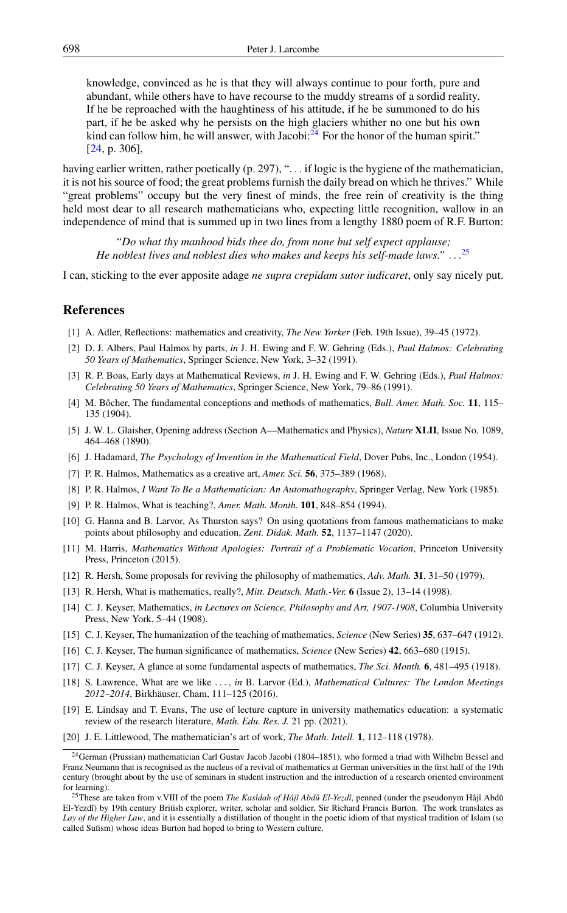knowledge, convinced as he is that they will always continue to pour forth, pure and abundant, while others have to have recourse to the muddy streams of a sordid reality. If he be reproached with the haughtiness of his attitude, if he be summoned to do his part, if he be asked why he persists on the high glaciers whither no one but his own kind can follow him, he will answer, with Jacobi: $^{24}$  $^{24}$  $^{24}$  For the honor of the human spirit." [\[24,](#page-35-6) p. 306],

having earlier written, rather poetically (p. 297), "... if logic is the hygiene of the mathematician, it is not his source of food; the great problems furnish the daily bread on which he thrives." While "great problems" occupy but the very finest of minds, the free rein of creativity is the thing held most dear to all research mathematicians who, expecting little recognition, wallow in an independence of mind that is summed up in two lines from a lengthy 1880 poem of R.F. Burton:

*"Do what thy manhood bids thee do, from none but self expect applause; He noblest lives and noblest dies who makes and keeps his self-made laws."* . . . [25](#page-34-22)

I can, sticking to the ever apposite adage *ne supra crepidam sutor iudicaret*, only say nicely put.

## <span id="page-34-0"></span>References

- <span id="page-34-5"></span>[1] A. Adler, Reflections: mathematics and creativity, *The New Yorker* (Feb. 19th Issue), 39–45 (1972).
- <span id="page-34-1"></span>[2] D. J. Albers, Paul Halmos by parts, *in* J. H. Ewing and F. W. Gehring (Eds.), *Paul Halmos: Celebrating 50 Years of Mathematics*, Springer Science, New York, 3–32 (1991).
- <span id="page-34-12"></span>[3] R. P. Boas, Early days at Mathematical Reviews, *in* J. H. Ewing and F. W. Gehring (Eds.), *Paul Halmos: Celebrating 50 Years of Mathematics*, Springer Science, New York, 79–86 (1991).
- <span id="page-34-9"></span>[4] M. Bôcher, The fundamental conceptions and methods of mathematics, *Bull. Amer. Math. Soc.* 11, 115– 135 (1904).
- <span id="page-34-11"></span>[5] J. W. L. Glaisher, Opening address (Section A—Mathematics and Physics), *Nature* XLII, Issue No. 1089, 464–468 (1890).
- <span id="page-34-20"></span>[6] J. Hadamard, *The Psychology of Invention in the Mathematical Field*, Dover Pubs, Inc., London (1954).
- <span id="page-34-3"></span>[7] P. R. Halmos, Mathematics as a creative art, *Amer. Sci.* 56, 375–389 (1968).
- <span id="page-34-16"></span>[8] P. R. Halmos, *I Want To Be a Mathematician: An Automathography*, Springer Verlag, New York (1985).
- <span id="page-34-15"></span>[9] P. R. Halmos, What is teaching?, *Amer. Math. Month.* 101, 848–854 (1994).
- <span id="page-34-18"></span>[10] G. Hanna and B. Larvor, As Thurston says? On using quotations from famous mathematicians to make points about philosophy and education, *Zent. Didak. Math.* 52, 1137–1147 (2020).
- <span id="page-34-10"></span>[11] M. Harris, *Mathematics Without Apologies: Portrait of a Problematic Vocation*, Princeton University Press, Princeton (2015).
- <span id="page-34-7"></span>[12] R. Hersh, Some proposals for reviving the philosophy of mathematics, *Adv. Math.* 31, 31–50 (1979).
- <span id="page-34-6"></span>[13] R. Hersh, What is mathematics, really?, *Mitt. Deutsch. Math.-Ver.* 6 (Issue 2), 13–14 (1998).
- <span id="page-34-4"></span>[14] C. J. Keyser, Mathematics, *in Lectures on Science, Philosophy and Art, 1907-1908*, Columbia University Press, New York, 5–44 (1908).
- <span id="page-34-2"></span>[15] C. J. Keyser, The humanization of the teaching of mathematics, *Science* (New Series) 35, 637–647 (1912).
- <span id="page-34-19"></span>[16] C. J. Keyser, The human significance of mathematics, *Science* (New Series) 42, 663–680 (1915).
- <span id="page-34-17"></span>[17] C. J. Keyser, A glance at some fundamental aspects of mathematics, *The Sci. Month.* 6, 481–495 (1918).
- <span id="page-34-13"></span>[18] S. Lawrence, What are we like . . . , *in* B. Larvor (Ed.), *Mathematical Cultures: The London Meetings 2012–2014*, Birkhäuser, Cham, 111–125 (2016).
- <span id="page-34-14"></span>[19] E. Lindsay and T. Evans, The use of lecture capture in university mathematics education: a systematic review of the research literature, *Math. Edu. Res. J.* 21 pp. (2021).
- <span id="page-34-8"></span>[20] J. E. Littlewood, The mathematician's art of work, *The Math. Intell.* 1, 112–118 (1978).

<span id="page-34-21"></span><sup>&</sup>lt;sup>24</sup>German (Prussian) mathematician Carl Gustav Jacob Jacobi (1804–1851), who formed a triad with Wilhelm Bessel and Franz Neumann that is recognised as the nucleus of a revival of mathematics at German universities in the first half of the 19th century (brought about by the use of seminars in student instruction and the introduction of a research oriented environment for learning).

<span id="page-34-22"></span><sup>25</sup>These are taken from v.VIII of the poem *The Kasîdah of Hâjî Abdû El-Yezdî*, penned (under the pseudonym Hâjî Abdû El-Yezdî) by 19th century British explorer, writer, scholar and soldier, Sir Richard Francis Burton. The work translates as *Lay of the Higher Law*, and it is essentially a distillation of thought in the poetic idiom of that mystical tradition of Islam (so called Sufism) whose ideas Burton had hoped to bring to Western culture.